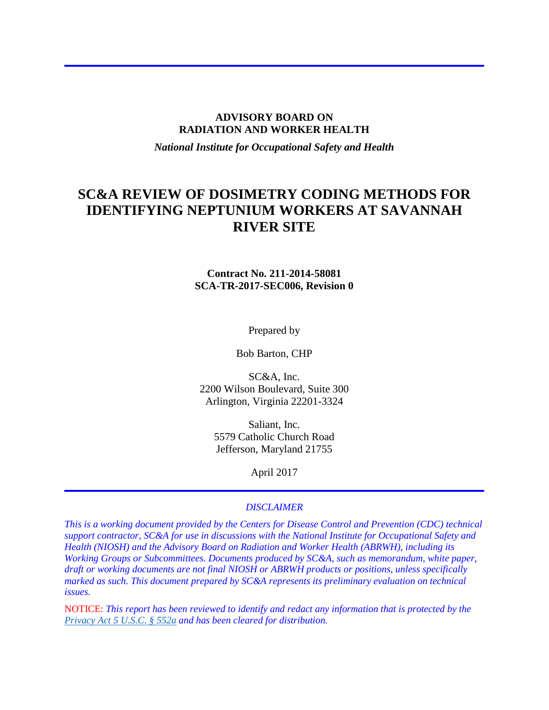#### **ADVISORY BOARD ON RADIATION AND WORKER HEALTH**

*National Institute for Occupational Safety and Health*

# **SC&A REVIEW OF DOSIMETRY CODING METHODS FOR IDENTIFYING NEPTUNIUM WORKERS AT SAVANNAH RIVER SITE**

### **Contract No. 211-2014-58081 SCA-TR-2017-SEC006, Revision 0**

Prepared by

Bob Barton, CHP

SC&A, Inc. 2200 Wilson Boulevard, Suite 300 Arlington, Virginia 22201-3324

> Saliant, Inc. 5579 Catholic Church Road Jefferson, Maryland 21755

> > April 2017

#### *DISCLAIMER*

*This is a working document provided by the Centers for Disease Control and Prevention (CDC) technical support contractor, SC&A for use in discussions with the National Institute for Occupational Safety and Health (NIOSH) and the Advisory Board on Radiation and Worker Health (ABRWH), including its Working Groups or Subcommittees. Documents produced by SC&A, such as memorandum, white paper, draft or working documents are not final NIOSH or ABRWH products or positions, unless specifically marked as such. This document prepared by SC&A represents its preliminary evaluation on technical issues.*

NOTICE: *This report has been reviewed to identify and redact any information that is protected by the [Privacy Act 5 U.S.C. § 552a](http://www.justice.gov/opcl/privacy-act-1974) and has been cleared for distribution.*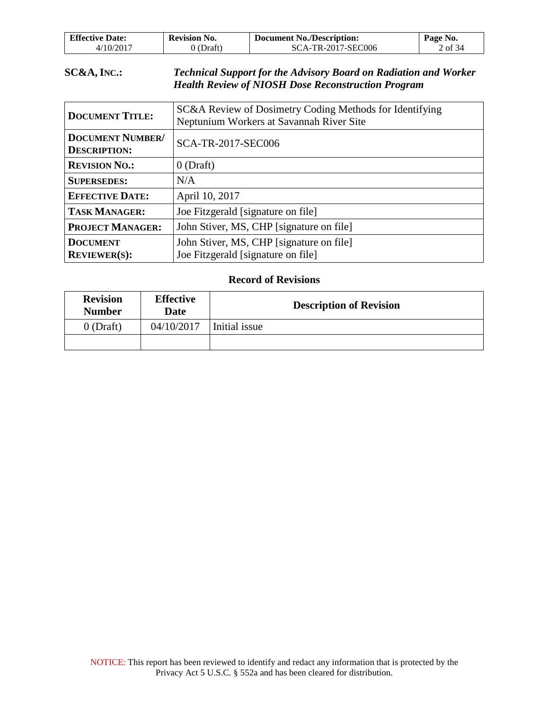| <b>Effective Date:</b>   | <b>Revision No.</b> | <b>Document No./Description:</b> | Page No. |
|--------------------------|---------------------|----------------------------------|----------|
| $4/10/201$ <sup>-7</sup> | 'Draft)             | SCA-TR-2017-SEC006               | of 34    |

## **SC&A, INC.:** *Technical Support for the Advisory Board on Radiation and Worker Health Review of NIOSH Dose Reconstruction Program*

| <b>DOCUMENT TITLE:</b>                         | SC&A Review of Dosimetry Coding Methods for Identifying<br>Neptunium Workers at Savannah River Site |
|------------------------------------------------|-----------------------------------------------------------------------------------------------------|
| <b>DOCUMENT NUMBER/</b><br><b>DESCRIPTION:</b> | SCA-TR-2017-SEC006                                                                                  |
| <b>REVISION NO.:</b>                           | $0$ (Draft)                                                                                         |
| <b>SUPERSEDES:</b>                             | N/A                                                                                                 |
| <b>EFFECTIVE DATE:</b>                         | April 10, 2017                                                                                      |
| <b>TASK MANAGER:</b>                           | Joe Fitzgerald [signature on file]                                                                  |
| <b>PROJECT MANAGER:</b>                        | John Stiver, MS, CHP [signature on file]                                                            |
| <b>DOCUMENT</b><br><b>REVIEWER(S):</b>         | John Stiver, MS, CHP [signature on file]<br>Joe Fitzgerald [signature on file]                      |

### **Record of Revisions**

| <b>Revision</b><br><b>Number</b> | <b>Effective</b><br>Date | <b>Description of Revision</b> |
|----------------------------------|--------------------------|--------------------------------|
| $0$ (Draft)                      | 04/10/2017               | Initial issue                  |
|                                  |                          |                                |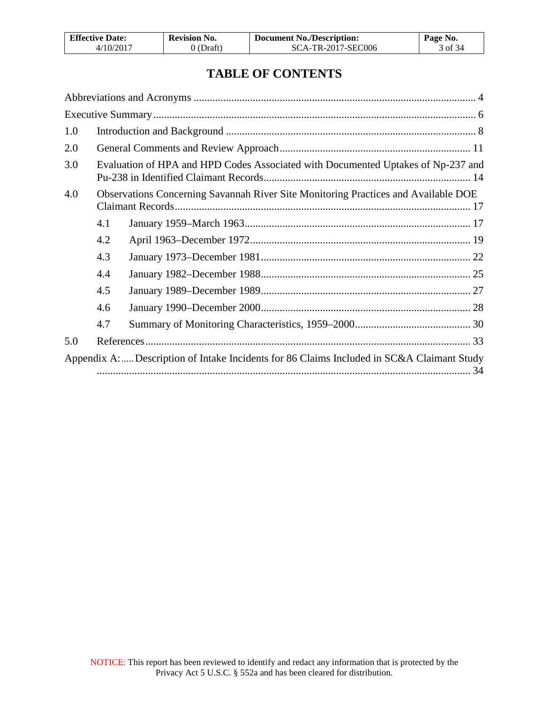| <b>Effective Date:</b> | <b>Revision No.</b> | <b>Document No./Description:</b> | Page No. |
|------------------------|---------------------|----------------------------------|----------|
| 4/10/2017              | 0 (Draft)           | SCA-TR-2017-SEC006               | 3 of 34  |

# **TABLE OF CONTENTS**

| 1.0 |     |                                                                                           |  |
|-----|-----|-------------------------------------------------------------------------------------------|--|
| 2.0 |     |                                                                                           |  |
| 3.0 |     | Evaluation of HPA and HPD Codes Associated with Documented Uptakes of Np-237 and          |  |
| 4.0 |     | Observations Concerning Savannah River Site Monitoring Practices and Available DOE        |  |
|     | 4.1 |                                                                                           |  |
|     | 4.2 |                                                                                           |  |
|     | 4.3 |                                                                                           |  |
|     | 4.4 |                                                                                           |  |
|     | 4.5 |                                                                                           |  |
|     | 4.6 |                                                                                           |  |
|     | 4.7 |                                                                                           |  |
| 5.0 |     |                                                                                           |  |
|     |     | Appendix A: Description of Intake Incidents for 86 Claims Included in SC&A Claimant Study |  |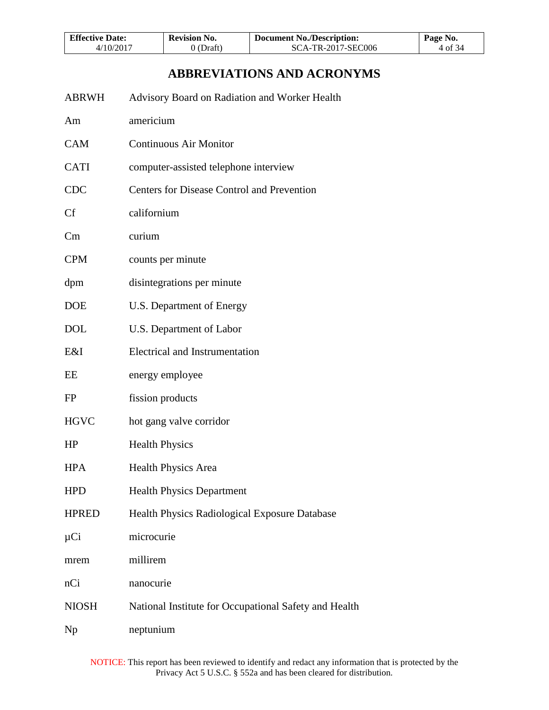| <b>Effective Date:</b> | <b>Revision No.</b> | <b>Document No./Description:</b> | Page No. |
|------------------------|---------------------|----------------------------------|----------|
| 4/10/2017              | O(Draft)            | SCA-TR-2017-SEC006               | 4 of 34  |

# **ABBREVIATIONS AND ACRONYMS**

<span id="page-3-0"></span>

| <b>ABRWH</b> | Advisory Board on Radiation and Worker Health         |
|--------------|-------------------------------------------------------|
| Am           | americium                                             |
| <b>CAM</b>   | <b>Continuous Air Monitor</b>                         |
| <b>CATI</b>  | computer-assisted telephone interview                 |
| <b>CDC</b>   | <b>Centers for Disease Control and Prevention</b>     |
| Cf           | californium                                           |
| Cm           | curium                                                |
| <b>CPM</b>   | counts per minute                                     |
| dpm          | disintegrations per minute                            |
| <b>DOE</b>   | U.S. Department of Energy                             |
| <b>DOL</b>   | U.S. Department of Labor                              |
| E&I          | <b>Electrical and Instrumentation</b>                 |
| EΕ           | energy employee                                       |
| <b>FP</b>    | fission products                                      |
| <b>HGVC</b>  | hot gang valve corridor                               |
| HP           | <b>Health Physics</b>                                 |
| <b>HPA</b>   | <b>Health Physics Area</b>                            |
| <b>HPD</b>   | <b>Health Physics Department</b>                      |
| <b>HPRED</b> | Health Physics Radiological Exposure Database         |
| $\mu$ Ci     | microcurie                                            |
| mrem         | millirem                                              |
| nCi          | nanocurie                                             |
| <b>NIOSH</b> | National Institute for Occupational Safety and Health |
| Np           | neptunium                                             |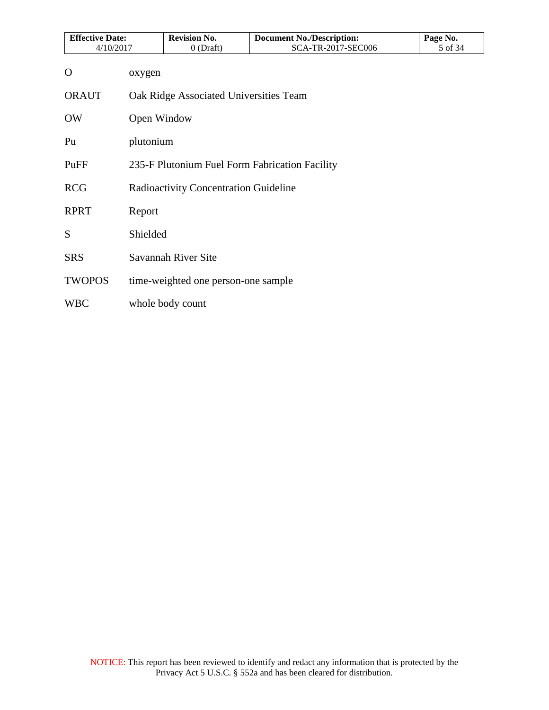| <b>Effective Date:</b> |             | <b>Revision No.</b>                    | <b>Document No./Description:</b>               | Page No. |
|------------------------|-------------|----------------------------------------|------------------------------------------------|----------|
| 4/10/2017              |             | $0$ (Draft)                            | SCA-TR-2017-SEC006                             | 5 of 34  |
| $\mathbf{O}$           | oxygen      |                                        |                                                |          |
| <b>ORAUT</b>           |             | Oak Ridge Associated Universities Team |                                                |          |
| <b>OW</b>              | Open Window |                                        |                                                |          |
| Pu                     | plutonium   |                                        |                                                |          |
| PuFF                   |             |                                        | 235-F Plutonium Fuel Form Fabrication Facility |          |
| <b>RCG</b>             |             | Radioactivity Concentration Guideline  |                                                |          |
| <b>RPRT</b>            | Report      |                                        |                                                |          |
| S                      | Shielded    |                                        |                                                |          |
| <b>SRS</b>             |             | Savannah River Site                    |                                                |          |
| <b>TWOPOS</b>          |             | time-weighted one person-one sample    |                                                |          |
| <b>WBC</b>             |             | whole body count                       |                                                |          |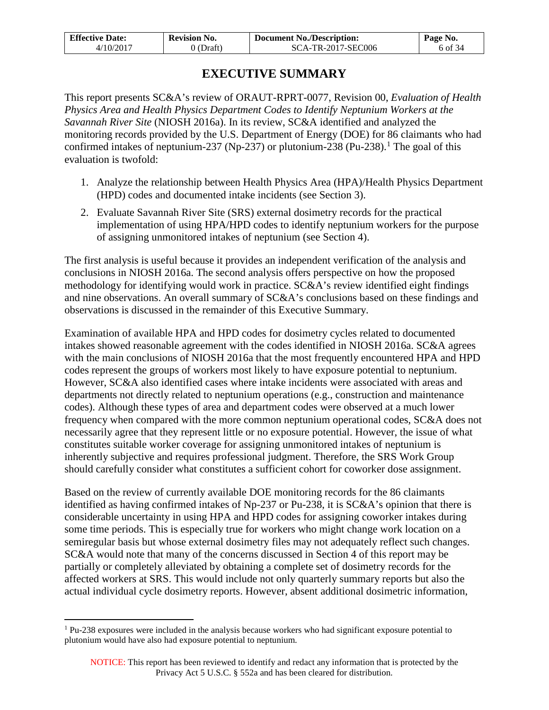| <b>Effective Date:</b> | <b>Revision No.</b> | <b>Document No./Description:</b> | Page No. |
|------------------------|---------------------|----------------------------------|----------|
| 4/10/2017              | 0 (Draft)           | SCA-TR-2017-SEC006               | 6 of 34  |

# **EXECUTIVE SUMMARY**

<span id="page-5-0"></span>This report presents SC&A's review of ORAUT-RPRT-0077, Revision 00, *Evaluation of Health Physics Area and Health Physics Department Codes to Identify Neptunium Workers at the Savannah River Site* (NIOSH 2016a). In its review, SC&A identified and analyzed the monitoring records provided by the U.S. Department of Energy (DOE) for 86 claimants who had confirmed intakes of neptunium-237 (Np-237) or plutonium-238 (Pu-238).<sup>[1](#page-5-1)</sup> The goal of this evaluation is twofold:

- 1. Analyze the relationship between Health Physics Area (HPA)/Health Physics Department (HPD) codes and documented intake incidents (see Section 3).
- 2. Evaluate Savannah River Site (SRS) external dosimetry records for the practical implementation of using HPA/HPD codes to identify neptunium workers for the purpose of assigning unmonitored intakes of neptunium (see Section 4).

The first analysis is useful because it provides an independent verification of the analysis and conclusions in NIOSH 2016a. The second analysis offers perspective on how the proposed methodology for identifying would work in practice. SC&A's review identified eight findings and nine observations. An overall summary of SC&A's conclusions based on these findings and observations is discussed in the remainder of this Executive Summary.

Examination of available HPA and HPD codes for dosimetry cycles related to documented intakes showed reasonable agreement with the codes identified in NIOSH 2016a. SC&A agrees with the main conclusions of NIOSH 2016a that the most frequently encountered HPA and HPD codes represent the groups of workers most likely to have exposure potential to neptunium. However, SC&A also identified cases where intake incidents were associated with areas and departments not directly related to neptunium operations (e.g., construction and maintenance codes). Although these types of area and department codes were observed at a much lower frequency when compared with the more common neptunium operational codes, SC&A does not necessarily agree that they represent little or no exposure potential. However, the issue of what constitutes suitable worker coverage for assigning unmonitored intakes of neptunium is inherently subjective and requires professional judgment. Therefore, the SRS Work Group should carefully consider what constitutes a sufficient cohort for coworker dose assignment.

Based on the review of currently available DOE monitoring records for the 86 claimants identified as having confirmed intakes of Np-237 or Pu-238, it is SC&A's opinion that there is considerable uncertainty in using HPA and HPD codes for assigning coworker intakes during some time periods. This is especially true for workers who might change work location on a semiregular basis but whose external dosimetry files may not adequately reflect such changes. SC&A would note that many of the concerns discussed in Section 4 of this report may be partially or completely alleviated by obtaining a complete set of dosimetry records for the affected workers at SRS. This would include not only quarterly summary reports but also the actual individual cycle dosimetry reports. However, absent additional dosimetric information,

 $\overline{a}$ 

<span id="page-5-1"></span><sup>1</sup> Pu-238 exposures were included in the analysis because workers who had significant exposure potential to plutonium would have also had exposure potential to neptunium.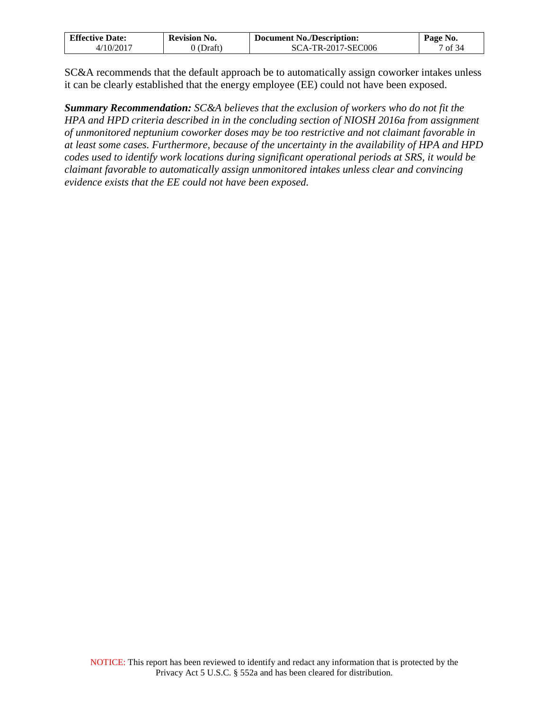| <b>Effective Date:</b> | <b>Revision No.</b> | <b>Document No./Description:</b> | Page No. |
|------------------------|---------------------|----------------------------------|----------|
| ./10/2017              | (Draft`             | SCA-TR-2017-SEC006               | of $34$  |

SC&A recommends that the default approach be to automatically assign coworker intakes unless it can be clearly established that the energy employee (EE) could not have been exposed.

*Summary Recommendation: SC&A believes that the exclusion of workers who do not fit the HPA and HPD criteria described in in the concluding section of NIOSH 2016a from assignment of unmonitored neptunium coworker doses may be too restrictive and not claimant favorable in at least some cases. Furthermore, because of the uncertainty in the availability of HPA and HPD codes used to identify work locations during significant operational periods at SRS, it would be claimant favorable to automatically assign unmonitored intakes unless clear and convincing evidence exists that the EE could not have been exposed.*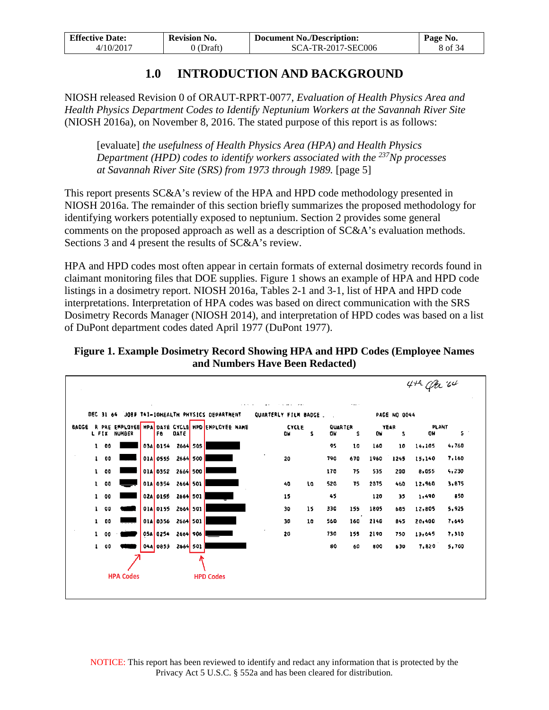| <b>Effective Date:</b> | <b>Revision No.</b> | <b>Document No./Description:</b> | Page No. |
|------------------------|---------------------|----------------------------------|----------|
| 4/10/2017              | 0 (Draft)           | SCA-TR-2017-SEC006               | 8 of 34  |

# **1.0 INTRODUCTION AND BACKGROUND**

<span id="page-7-0"></span>NIOSH released Revision 0 of ORAUT-RPRT-0077, *Evaluation of Health Physics Area and Health Physics Department Codes to Identify Neptunium Workers at the Savannah River Site* (NIOSH 2016a), on November 8, 2016. The stated purpose of this report is as follows:

[evaluate] *the usefulness of Health Physics Area (HPA) and Health Physics Department (HPD) codes to identify workers associated with the 237Np processes at Savannah River Site (SRS) from 1973 through 1989.* [page 5]

This report presents SC&A's review of the HPA and HPD code methodology presented in NIOSH 2016a. The remainder of this section briefly summarizes the proposed methodology for identifying workers potentially exposed to neptunium. Section 2 provides some general comments on the proposed approach as well as a description of SC&A's evaluation methods. Sections 3 and 4 present the results of SC&A's review.

HPA and HPD codes most often appear in certain formats of external dosimetry records found in claimant monitoring files that DOE supplies. Figure 1 shows an example of HPA and HPD code listings in a dosimetry report. NIOSH 2016a, Tables 2-1 and 3-1, list of HPA and HPD code interpretations. Interpretation of HPA codes was based on direct communication with the SRS Dosimetry Records Manager (NIOSH 2014), and interpretation of HPD codes was based on a list of DuPont department codes dated April 1977 (DuPont 1977).

**Figure 1. Example Dosimetry Record Showing HPA and HPD Codes (Employee Names and Numbers Have Been Redacted)**

|       |              |                  |                 |                 |             |                                                             |                      |                     |    |               |          |           |                     | $44$ Cfa $64$ |             |
|-------|--------------|------------------|-----------------|-----------------|-------------|-------------------------------------------------------------|----------------------|---------------------|----|---------------|----------|-----------|---------------------|---------------|-------------|
|       | DEC 31 64    |                  | <b>Contract</b> |                 |             | $-1$ $-1$ $-1$ $-1$<br>JOB# T41-10HEALTH PHYSICS DEPARTMENT | QUARTERLY FILM BADGE | $\cdots$            |    |               | $\cdots$ |           | <b>PAGE NO 0044</b> |               |             |
| BADGE | L FIX        | <b>NUMBER</b>    |                 | Fe              | <b>DATE</b> | R PRE EMPLOYEE HPA DATE CYCLE HPD ENPLOYEE NAME             |                      | <b>CYCLE</b><br>DH. | s  | QUARTER<br>OW | s        | <b>DM</b> | YEAR<br>s           | PLANT<br>OW   | $5^{\circ}$ |
|       | 100          |                  |                 | 03A 0154        | 2664 505    |                                                             |                      |                     |    | 95            | 10       | 160       | 10                  | 14,105        | 4,760       |
|       | 100          |                  |                 | 01A 0555        | 2664 500    |                                                             |                      | 20                  |    | 790           | 670      | 1960      | 1245                | 15,140        | 7,160       |
|       | $1 \quad 00$ |                  |                 | 01A 0352        | 2664 500    |                                                             |                      |                     |    | 170           | 75       | 535       | 200                 | 8,055         | 4,230       |
|       | $1 \quad 00$ |                  |                 | 01A 0354        | 2664 501    |                                                             |                      | 40                  | 10 | 520           | 75       | 2075      | 460                 | 12,960        | 3,875       |
|       | 100          |                  |                 | 02A 0155        | 2664 501    |                                                             |                      | 15                  |    | 45            |          | 120       | 35                  | 1,490         | 850         |
|       | 100          |                  |                 | 014 0155        | 2664 501    |                                                             |                      | 30                  | 15 | 330           | 155      | 1805      | 665                 | 12,805        | 5,925       |
|       | 1 00         |                  |                 | <b>OIA 0356</b> | 2664 501    |                                                             |                      | 30                  | 10 | 560           | 160      | 2140      | 845                 | 20,400        | 7,645       |
|       | 1 00         |                  |                 | 05A 0254        | 2664 906    |                                                             |                      | 20                  |    | 730           | 155      | 2190      | 750                 | 13,645        | 7,310       |
|       | $1 \quad 00$ |                  |                 | 044 0853        | 2664 501    |                                                             |                      |                     |    | 80            | 60       | 800       | 630                 | 7,820         | 5,700       |
|       |              |                  |                 |                 |             |                                                             |                      |                     |    |               |          |           |                     |               |             |
|       |              | <b>HPA Codes</b> |                 |                 |             | <b>HPD Codes</b>                                            |                      |                     |    |               |          |           |                     |               |             |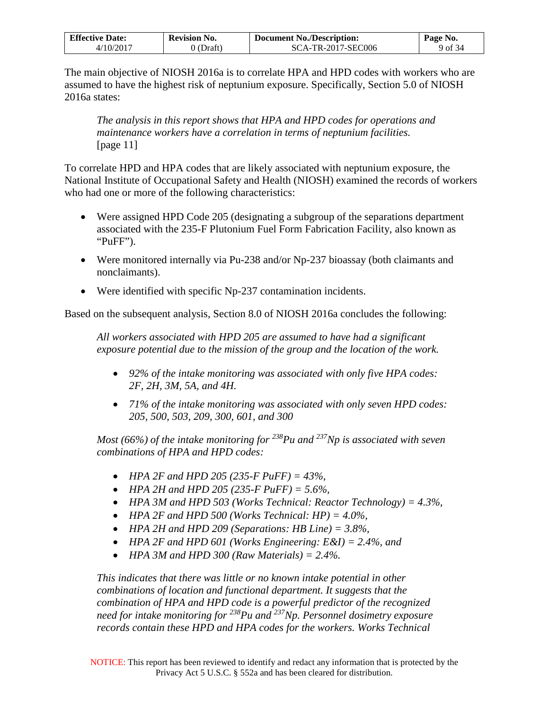| <b>Effective Date:</b>   | Revision No. | <b>Document No./Description:</b> | Page No. |
|--------------------------|--------------|----------------------------------|----------|
| $4/10/201$ <sup>-7</sup> | (Draft)      | <b>SCA-TR-2017-SEC006</b>        | 9 of 34  |

The main objective of NIOSH 2016a is to correlate HPA and HPD codes with workers who are assumed to have the highest risk of neptunium exposure. Specifically, Section 5.0 of NIOSH 2016a states:

*The analysis in this report shows that HPA and HPD codes for operations and maintenance workers have a correlation in terms of neptunium facilities.*  [page 11]

To correlate HPD and HPA codes that are likely associated with neptunium exposure, the National Institute of Occupational Safety and Health (NIOSH) examined the records of workers who had one or more of the following characteristics:

- Were assigned HPD Code 205 (designating a subgroup of the separations department associated with the 235-F Plutonium Fuel Form Fabrication Facility, also known as "PuFF").
- Were monitored internally via Pu-238 and/or Np-237 bioassay (both claimants and nonclaimants).
- Were identified with specific Np-237 contamination incidents.

Based on the subsequent analysis, Section 8.0 of NIOSH 2016a concludes the following:

*All workers associated with HPD 205 are assumed to have had a significant exposure potential due to the mission of the group and the location of the work.* 

- *92% of the intake monitoring was associated with only five HPA codes: 2F, 2H, 3M, 5A, and 4H.*
- *71% of the intake monitoring was associated with only seven HPD codes: 205, 500, 503, 209, 300, 601, and 300*

*Most (66%) of the intake monitoring for* <sup>238</sup>*Pu and* <sup>237</sup>*Np is associated with seven combinations of HPA and HPD codes:*

- *HPA 2F and HPD 205 (235-F PuFF) = 43%,*
- *HPA 2H and HPD 205 (235-F PuFF) = 5.6%,*
- *HPA 3M and HPD 503 (Works Technical: Reactor Technology) = 4.3%,*
- *HPA 2F and HPD 500 (Works Technical: HP) = 4.0%,*
- *HPA 2H and HPD 209 (Separations: HB Line) = 3.8%,*
- *HPA 2F and HPD 601 (Works Engineering: E&I) = 2.4%, and*
- *HPA 3M and HPD 300 (Raw Materials) = 2.4%.*

*This indicates that there was little or no known intake potential in other combinations of location and functional department. It suggests that the combination of HPA and HPD code is a powerful predictor of the recognized need for intake monitoring for 238Pu and 237Np. Personnel dosimetry exposure records contain these HPD and HPA codes for the workers. Works Technical*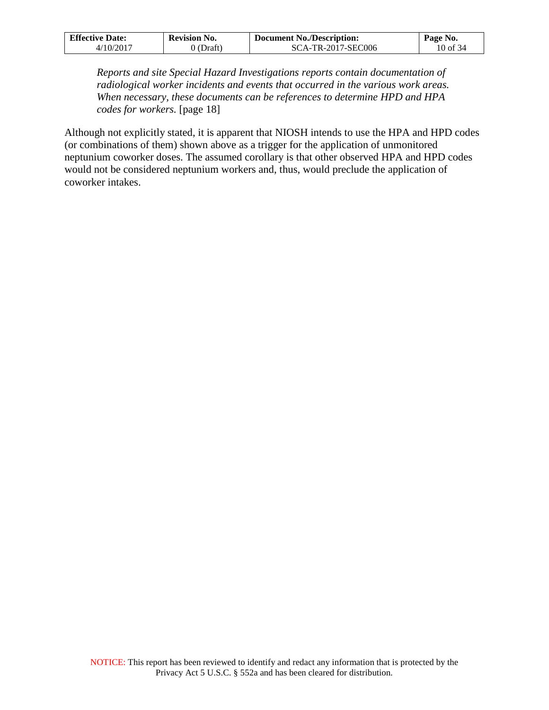| <b>Effective Date:</b> | <b>Revision No.</b> | <b>Document No./Description:</b> | Page No. |
|------------------------|---------------------|----------------------------------|----------|
| ./10/2017              | (Draft`             | SCA-TR-2017-SEC006               | 10 of 34 |

*Reports and site Special Hazard Investigations reports contain documentation of radiological worker incidents and events that occurred in the various work areas. When necessary, these documents can be references to determine HPD and HPA codes for workers.* [page 18]

Although not explicitly stated, it is apparent that NIOSH intends to use the HPA and HPD codes (or combinations of them) shown above as a trigger for the application of unmonitored neptunium coworker doses. The assumed corollary is that other observed HPA and HPD codes would not be considered neptunium workers and, thus, would preclude the application of coworker intakes.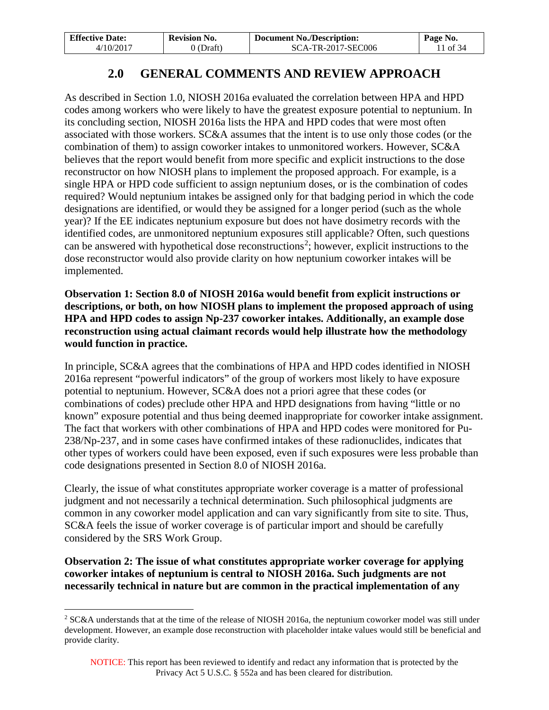| <b>Effective Date:</b> | <b>Revision No.</b> | <b>Document No./Description:</b> | Page No. |
|------------------------|---------------------|----------------------------------|----------|
| 4/10/2017              | 0 (Draft)           | SCA-TR-2017-SEC006               | 1 of 34  |

# **2.0 GENERAL COMMENTS AND REVIEW APPROACH**

<span id="page-10-0"></span>As described in Section 1.0, NIOSH 2016a evaluated the correlation between HPA and HPD codes among workers who were likely to have the greatest exposure potential to neptunium. In its concluding section, NIOSH 2016a lists the HPA and HPD codes that were most often associated with those workers. SC&A assumes that the intent is to use only those codes (or the combination of them) to assign coworker intakes to unmonitored workers. However, SC&A believes that the report would benefit from more specific and explicit instructions to the dose reconstructor on how NIOSH plans to implement the proposed approach. For example, is a single HPA or HPD code sufficient to assign neptunium doses, or is the combination of codes required? Would neptunium intakes be assigned only for that badging period in which the code designations are identified, or would they be assigned for a longer period (such as the whole year)? If the EE indicates neptunium exposure but does not have dosimetry records with the identified codes, are unmonitored neptunium exposures still applicable? Often, such questions can be answered with hypothetical dose reconstructions<sup>[2](#page-10-1)</sup>; however, explicit instructions to the dose reconstructor would also provide clarity on how neptunium coworker intakes will be implemented.

**Observation 1: Section 8.0 of NIOSH 2016a would benefit from explicit instructions or descriptions, or both, on how NIOSH plans to implement the proposed approach of using HPA and HPD codes to assign Np-237 coworker intakes. Additionally, an example dose reconstruction using actual claimant records would help illustrate how the methodology would function in practice.**

In principle, SC&A agrees that the combinations of HPA and HPD codes identified in NIOSH 2016a represent "powerful indicators" of the group of workers most likely to have exposure potential to neptunium. However, SC&A does not a priori agree that these codes (or combinations of codes) preclude other HPA and HPD designations from having "little or no known" exposure potential and thus being deemed inappropriate for coworker intake assignment. The fact that workers with other combinations of HPA and HPD codes were monitored for Pu-238/Np-237, and in some cases have confirmed intakes of these radionuclides, indicates that other types of workers could have been exposed, even if such exposures were less probable than code designations presented in Section 8.0 of NIOSH 2016a.

Clearly, the issue of what constitutes appropriate worker coverage is a matter of professional judgment and not necessarily a technical determination. Such philosophical judgments are common in any coworker model application and can vary significantly from site to site. Thus, SC&A feels the issue of worker coverage is of particular import and should be carefully considered by the SRS Work Group.

**Observation 2: The issue of what constitutes appropriate worker coverage for applying coworker intakes of neptunium is central to NIOSH 2016a. Such judgments are not necessarily technical in nature but are common in the practical implementation of any** 

 $\overline{a}$ 

<span id="page-10-1"></span><sup>&</sup>lt;sup>2</sup> SC&A understands that at the time of the release of NIOSH 2016a, the neptunium coworker model was still under development. However, an example dose reconstruction with placeholder intake values would still be beneficial and provide clarity.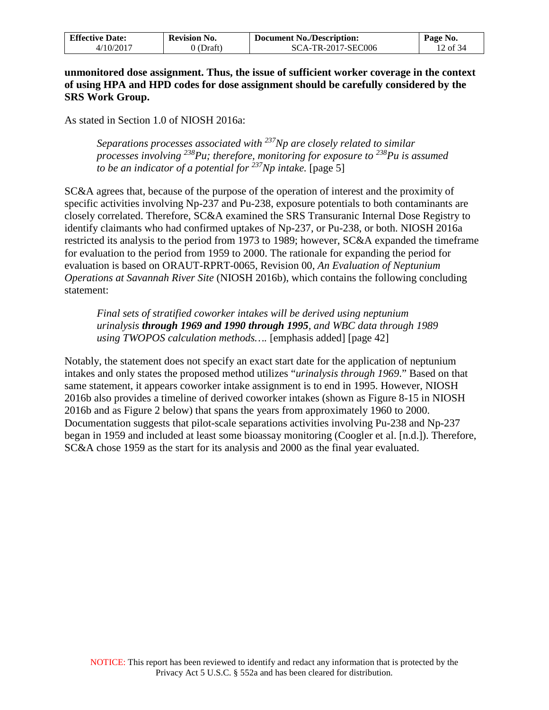| <b>Effective Date:</b> | <b>Revision No.</b> | <b>Document No./Description:</b> | Page No.             |
|------------------------|---------------------|----------------------------------|----------------------|
| /10/2011               | 'Draft              | SCA-TR-2017-SEC006               | $\frac{12}{2}$ of 34 |

**unmonitored dose assignment. Thus, the issue of sufficient worker coverage in the context of using HPA and HPD codes for dose assignment should be carefully considered by the SRS Work Group.**

As stated in Section 1.0 of NIOSH 2016a:

*Separations processes associated with 237Np are closely related to similar processes involving 238Pu; therefore, monitoring for exposure to 238Pu is assumed to be an indicator of a potential for* <sup>237</sup>Np *intake.* [page 5]

SC&A agrees that, because of the purpose of the operation of interest and the proximity of specific activities involving Np-237 and Pu-238, exposure potentials to both contaminants are closely correlated. Therefore, SC&A examined the SRS Transuranic Internal Dose Registry to identify claimants who had confirmed uptakes of Np-237, or Pu-238, or both. NIOSH 2016a restricted its analysis to the period from 1973 to 1989; however, SC&A expanded the timeframe for evaluation to the period from 1959 to 2000. The rationale for expanding the period for evaluation is based on ORAUT-RPRT-0065, Revision 00, *An Evaluation of Neptunium Operations at Savannah River Site* (NIOSH 2016b), which contains the following concluding statement:

*Final sets of stratified coworker intakes will be derived using neptunium urinalysis through 1969 and 1990 through 1995, and WBC data through 1989 using TWOPOS calculation methods….* [emphasis added] [page 42]

Notably, the statement does not specify an exact start date for the application of neptunium intakes and only states the proposed method utilizes "*urinalysis through 1969*." Based on that same statement, it appears coworker intake assignment is to end in 1995. However, NIOSH 2016b also provides a timeline of derived coworker intakes (shown as Figure 8-15 in NIOSH 2016b and as Figure 2 below) that spans the years from approximately 1960 to 2000. Documentation suggests that pilot-scale separations activities involving Pu-238 and Np-237 began in 1959 and included at least some bioassay monitoring (Coogler et al. [n.d.]). Therefore, SC&A chose 1959 as the start for its analysis and 2000 as the final year evaluated.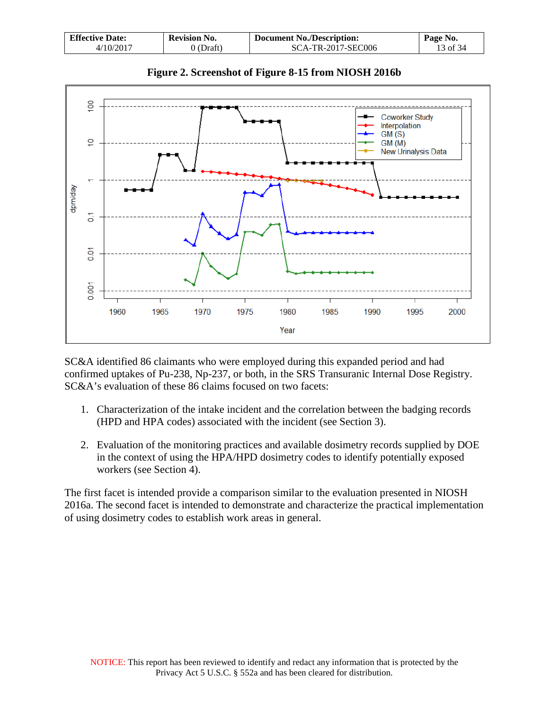| <b>Effective Date:</b> | <b>Revision No.</b> | <b>Document No./Description:</b> | $P$ age No. |
|------------------------|---------------------|----------------------------------|-------------|
| 4/10/2017              | $0$ (Draft)         | SCA-TR-2017-SEC006               | 13 of 34    |



**Figure 2. Screenshot of Figure 8-15 from NIOSH 2016b** 

SC&A identified 86 claimants who were employed during this expanded period and had confirmed uptakes of Pu-238, Np-237, or both, in the SRS Transuranic Internal Dose Registry. SC&A's evaluation of these 86 claims focused on two facets:

- 1. Characterization of the intake incident and the correlation between the badging records (HPD and HPA codes) associated with the incident (see Section 3).
- 2. Evaluation of the monitoring practices and available dosimetry records supplied by DOE in the context of using the HPA/HPD dosimetry codes to identify potentially exposed workers (see Section 4).

The first facet is intended provide a comparison similar to the evaluation presented in NIOSH 2016a. The second facet is intended to demonstrate and characterize the practical implementation of using dosimetry codes to establish work areas in general.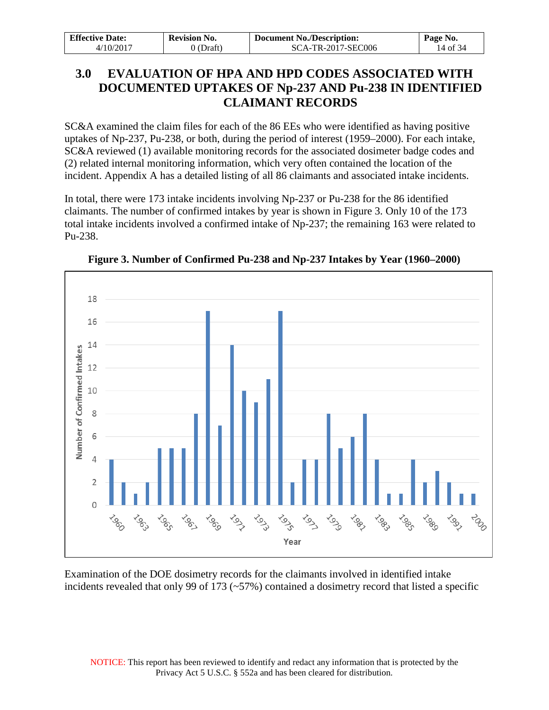| <b>Effective Date:</b> | <b>Revision No.</b> | <b>Document No./Description:</b> | Page No. |
|------------------------|---------------------|----------------------------------|----------|
| 4/10/2017              | $0$ (Draft)         | SCA-TR-2017-SEC006               | 14 of 34 |

# <span id="page-13-0"></span>**3.0 EVALUATION OF HPA AND HPD CODES ASSOCIATED WITH DOCUMENTED UPTAKES OF Np-237 AND Pu-238 IN IDENTIFIED CLAIMANT RECORDS**

SC&A examined the claim files for each of the 86 EEs who were identified as having positive uptakes of Np-237, Pu-238, or both, during the period of interest (1959–2000). For each intake, SC&A reviewed (1) available monitoring records for the associated dosimeter badge codes and (2) related internal monitoring information, which very often contained the location of the incident. Appendix A has a detailed listing of all 86 claimants and associated intake incidents.

In total, there were 173 intake incidents involving Np-237 or Pu-238 for the 86 identified claimants. The number of confirmed intakes by year is shown in Figure 3. Only 10 of the 173 total intake incidents involved a confirmed intake of Np-237; the remaining 163 were related to Pu-238.



**Figure 3. Number of Confirmed Pu-238 and Np-237 Intakes by Year (1960–2000)**

Examination of the DOE dosimetry records for the claimants involved in identified intake incidents revealed that only 99 of 173 (~57%) contained a dosimetry record that listed a specific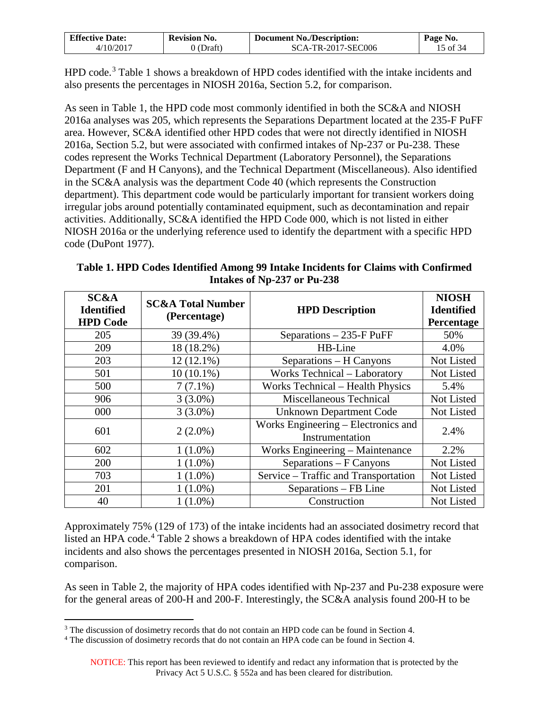| <b>Effective Date:</b> | <b>Revision No.</b> | <b>Document No./Description:</b> | Page No. |
|------------------------|---------------------|----------------------------------|----------|
| $+10/201$ <sup>-</sup> | Draft.              | SCA-TR-2017-SEC006               | 5 of 34  |

HPD code.<sup>[3](#page-14-0)</sup> Table 1 shows a breakdown of HPD codes identified with the intake incidents and also presents the percentages in NIOSH 2016a, Section 5.2, for comparison.

As seen in Table 1, the HPD code most commonly identified in both the SC&A and NIOSH 2016a analyses was 205, which represents the Separations Department located at the 235-F PuFF area. However, SC&A identified other HPD codes that were not directly identified in NIOSH 2016a, Section 5.2, but were associated with confirmed intakes of Np-237 or Pu-238. These codes represent the Works Technical Department (Laboratory Personnel), the Separations Department (F and H Canyons), and the Technical Department (Miscellaneous). Also identified in the SC&A analysis was the department Code 40 (which represents the Construction department). This department code would be particularly important for transient workers doing irregular jobs around potentially contaminated equipment, such as decontamination and repair activities. Additionally, SC&A identified the HPD Code 000, which is not listed in either NIOSH 2016a or the underlying reference used to identify the department with a specific HPD code (DuPont 1977).

**Table 1. HPD Codes Identified Among 99 Intake Incidents for Claims with Confirmed Intakes of Np-237 or Pu-238** 

| <b>SC&amp;A</b><br><b>Identified</b><br><b>HPD Code</b> | <b>SC&amp;A Total Number</b><br>(Percentage) | <b>HPD Description</b>                                 | <b>NIOSH</b><br><b>Identified</b><br>Percentage |
|---------------------------------------------------------|----------------------------------------------|--------------------------------------------------------|-------------------------------------------------|
| 205                                                     | 39 (39.4%)                                   | Separations $-235$ -F PuFF                             | 50%                                             |
| 209                                                     | 18 (18.2%)                                   | HB-Line                                                | 4.0%                                            |
| 203                                                     | $12(12.1\%)$                                 | Separations – H Canyons                                | Not Listed                                      |
| 501                                                     | $10(10.1\%)$                                 | Works Technical - Laboratory                           | Not Listed                                      |
| 500                                                     | $7(7.1\%)$                                   | <b>Works Technical - Health Physics</b>                | 5.4%                                            |
| 906                                                     | $3(3.0\%)$                                   | Miscellaneous Technical                                | Not Listed                                      |
| 000                                                     | $3(3.0\%)$                                   | <b>Unknown Department Code</b>                         | Not Listed                                      |
| 601                                                     | $2(2.0\%)$                                   | Works Engineering – Electronics and<br>Instrumentation | 2.4%                                            |
| 602                                                     | $1(1.0\%)$                                   | Works Engineering – Maintenance                        | 2.2%                                            |
| 200                                                     | $1(1.0\%)$                                   | Separations – F Canyons                                | Not Listed                                      |
| 703                                                     | $1(1.0\%)$                                   | Service – Traffic and Transportation                   | Not Listed                                      |
| 201                                                     | $1(1.0\%)$                                   | Separations – FB Line                                  | Not Listed                                      |
| 40                                                      | $1(1.0\%)$                                   | Construction                                           | Not Listed                                      |

Approximately 75% (129 of 173) of the intake incidents had an associated dosimetry record that listed an HPA code.<sup>[4](#page-14-1)</sup> Table 2 shows a breakdown of HPA codes identified with the intake incidents and also shows the percentages presented in NIOSH 2016a, Section 5.1, for comparison.

As seen in Table 2, the majority of HPA codes identified with Np-237 and Pu-238 exposure were for the general areas of 200-H and 200-F. Interestingly, the SC&A analysis found 200-H to be

 $3$  The discussion of dosimetry records that do not contain an HPD code can be found in Section 4.  $\overline{a}$ 

<span id="page-14-1"></span><span id="page-14-0"></span><sup>4</sup> The discussion of dosimetry records that do not contain an HPA code can be found in Section 4.

NOTICE: This report has been reviewed to identify and redact any information that is protected by the Privacy Act 5 U.S.C. § 552a and has been cleared for distribution.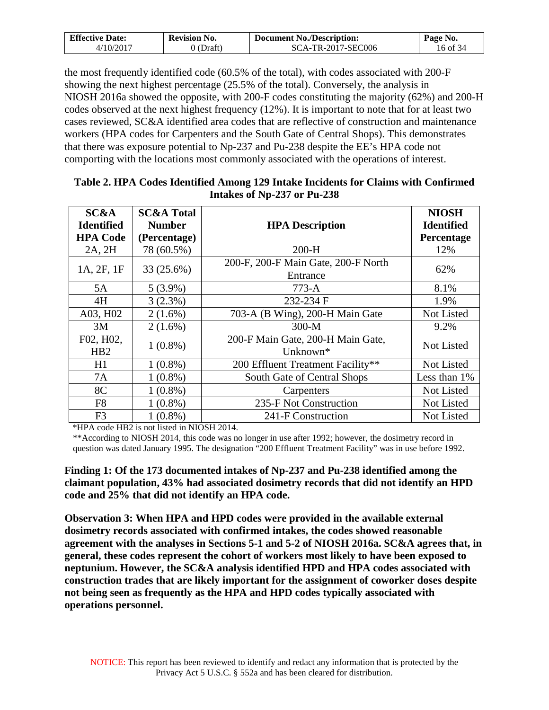| <b>Effective Date:</b> | <b>Revision No.</b> | <b>Document No./Description:</b> | Page No. |
|------------------------|---------------------|----------------------------------|----------|
| 4/10/2017              | 0 (Draft)           | SCA-TR-2017-SEC006               | 16 of 34 |

the most frequently identified code (60.5% of the total), with codes associated with 200-F showing the next highest percentage (25.5% of the total). Conversely, the analysis in NIOSH 2016a showed the opposite, with 200-F codes constituting the majority (62%) and 200-H codes observed at the next highest frequency (12%). It is important to note that for at least two cases reviewed, SC&A identified area codes that are reflective of construction and maintenance workers (HPA codes for Carpenters and the South Gate of Central Shops). This demonstrates that there was exposure potential to Np-237 and Pu-238 despite the EE's HPA code not comporting with the locations most commonly associated with the operations of interest.

| <b>SC&amp;A</b><br><b>Identified</b> | <b>SC&amp;A Total</b><br><b>Number</b> | <b>HPA Description</b>                          | <b>NIOSH</b><br><b>Identified</b> |
|--------------------------------------|----------------------------------------|-------------------------------------------------|-----------------------------------|
| <b>HPA Code</b>                      | (Percentage)                           |                                                 | Percentage                        |
| 2A, 2H                               | 78 (60.5%)                             | $200-H$                                         | 12%                               |
| 1A, 2F, 1F                           | 33 (25.6%)                             | 200-F, 200-F Main Gate, 200-F North<br>Entrance | 62%                               |
| 5A                                   | $5(3.9\%)$                             | $773-A$                                         | 8.1%                              |
| 4H                                   | 3(2.3%)                                | 232-234 F                                       | 1.9%                              |
| A03, H02                             | $2(1.6\%)$                             | 703-A (B Wing), 200-H Main Gate                 | Not Listed                        |
| 3M                                   | $2(1.6\%)$                             | $300-M$                                         | 9.2%                              |
| F02, H02,<br>HB2                     | $1(0.8\%)$                             | 200-F Main Gate, 200-H Main Gate,<br>Unknown*   | <b>Not Listed</b>                 |
| H1                                   | $1(0.8\%)$                             | 200 Effluent Treatment Facility**               | Not Listed                        |
| 7A                                   | $1(0.8\%)$                             | South Gate of Central Shops                     | Less than 1%                      |
| 8C                                   | $1(0.8\%)$                             | Carpenters                                      | Not Listed                        |
| F <sub>8</sub>                       | $1(0.8\%)$                             | 235-F Not Construction                          | Not Listed                        |
| F <sub>3</sub>                       | $1(0.8\%)$                             | 241-F Construction                              | Not Listed                        |

### **Table 2. HPA Codes Identified Among 129 Intake Incidents for Claims with Confirmed Intakes of Np-237 or Pu-238**

\*HPA code HB2 is not listed in NIOSH 2014.

\*\*According to NIOSH 2014, this code was no longer in use after 1992; however, the dosimetry record in question was dated January 1995. The designation "200 Effluent Treatment Facility" was in use before 1992.

**Finding 1: Of the 173 documented intakes of Np-237 and Pu-238 identified among the claimant population, 43% had associated dosimetry records that did not identify an HPD code and 25% that did not identify an HPA code.** 

**Observation 3: When HPA and HPD codes were provided in the available external dosimetry records associated with confirmed intakes, the codes showed reasonable agreement with the analyses in Sections 5-1 and 5-2 of NIOSH 2016a. SC&A agrees that, in general, these codes represent the cohort of workers most likely to have been exposed to neptunium. However, the SC&A analysis identified HPD and HPA codes associated with construction trades that are likely important for the assignment of coworker doses despite not being seen as frequently as the HPA and HPD codes typically associated with operations personnel.**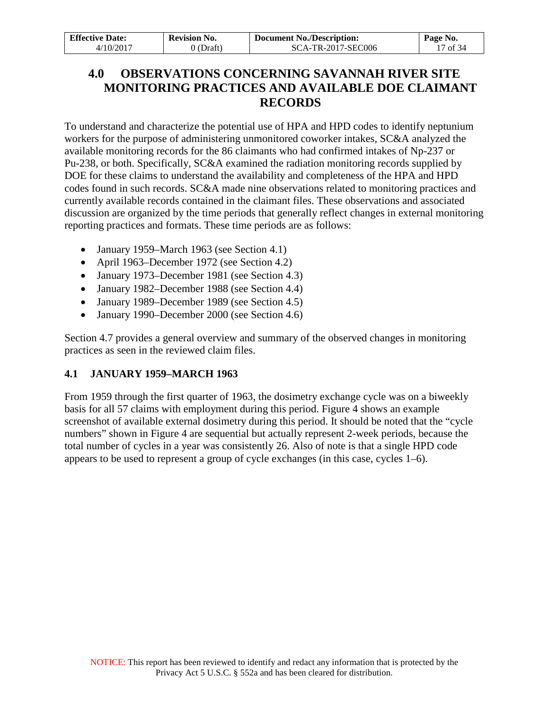| <b>Effective Date:</b> | <b>Revision No.</b> | <b>Document No./Description:</b> | Page No.            |
|------------------------|---------------------|----------------------------------|---------------------|
| 4/10/2017              | 0 (Draft)           | SCA-TR-2017-SEC006               | $17 \text{ of } 34$ |

# <span id="page-16-0"></span>**4.0 OBSERVATIONS CONCERNING SAVANNAH RIVER SITE MONITORING PRACTICES AND AVAILABLE DOE CLAIMANT RECORDS**

To understand and characterize the potential use of HPA and HPD codes to identify neptunium workers for the purpose of administering unmonitored coworker intakes, SC&A analyzed the available monitoring records for the 86 claimants who had confirmed intakes of Np-237 or Pu-238, or both. Specifically, SC&A examined the radiation monitoring records supplied by DOE for these claims to understand the availability and completeness of the HPA and HPD codes found in such records. SC&A made nine observations related to monitoring practices and currently available records contained in the claimant files. These observations and associated discussion are organized by the time periods that generally reflect changes in external monitoring reporting practices and formats. These time periods are as follows:

- January 1959–March 1963 (see Section 4.1)
- April 1963–December 1972 (see Section 4.2)
- January 1973–December 1981 (see Section 4.3)
- January 1982–December 1988 (see Section 4.4)
- January 1989–December 1989 (see Section 4.5)
- January 1990–December 2000 (see Section 4.6)

Section 4.7 provides a general overview and summary of the observed changes in monitoring practices as seen in the reviewed claim files.

## <span id="page-16-1"></span>**4.1 JANUARY 1959–MARCH 1963**

From 1959 through the first quarter of 1963, the dosimetry exchange cycle was on a biweekly basis for all 57 claims with employment during this period. Figure 4 shows an example screenshot of available external dosimetry during this period. It should be noted that the "cycle numbers" shown in Figure 4 are sequential but actually represent 2-week periods, because the total number of cycles in a year was consistently 26. Also of note is that a single HPD code appears to be used to represent a group of cycle exchanges (in this case, cycles 1–6).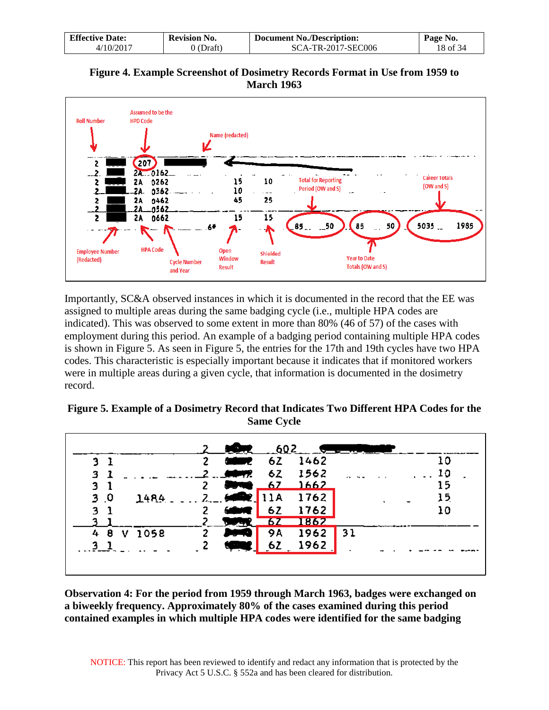| <b>Effective Date:</b>   | <b>Revision No.</b> | <b>Document No./Description:</b> | Page No. |
|--------------------------|---------------------|----------------------------------|----------|
| $4/10/201$ <sup>-7</sup> | (Draft)             | SCA-TR-2017-SEC006               | 18 of 34 |

**Figure 4. Example Screenshot of Dosimetry Records Format in Use from 1959 to March 1963** 



Importantly, SC&A observed instances in which it is documented in the record that the EE was assigned to multiple areas during the same badging cycle (i.e., multiple HPA codes are indicated). This was observed to some extent in more than 80% (46 of 57) of the cases with employment during this period. An example of a badging period containing multiple HPA codes is shown in Figure 5. As seen in Figure 5, the entries for the 17th and 19th cycles have two HPA codes. This characteristic is especially important because it indicates that if monitored workers were in multiple areas during a given cycle, that information is documented in the dosimetry record.

| Figure 5. Example of a Dosimetry Record that Indicates Two Different HPA Codes for the |
|----------------------------------------------------------------------------------------|
| <b>Same Cycle</b>                                                                      |

|                        |              | $\overline{0}$  | $-602$ |            |    |    |
|------------------------|--------------|-----------------|--------|------------|----|----|
| 3 B                    | $\mathbf{2}$ | <b>CONTRACT</b> |        | 2 62 1462  |    | 10 |
| 31                     |              | $2 - 44$        | 6Z     | 1562       |    | 10 |
| 31                     | 2            |                 |        | $-67$ 1662 |    | 15 |
| 3 <sub>0</sub><br>1484 |              | 2.602           | 11A    | 1762       |    | 15 |
| 3 <sub>1</sub>         | 2            |                 | 6 Z    | 1762       |    | 10 |
|                        |              |                 |        | 1862       |    |    |
| 4 8 V 1058             | 2            |                 | 9A     | 1962       | 31 |    |
|                        |              | <b>Control</b>  | 62     | 1962       |    |    |
|                        |              |                 |        |            |    |    |
|                        |              |                 |        |            |    |    |

**Observation 4: For the period from 1959 through March 1963, badges were exchanged on a biweekly frequency. Approximately 80% of the cases examined during this period contained examples in which multiple HPA codes were identified for the same badging**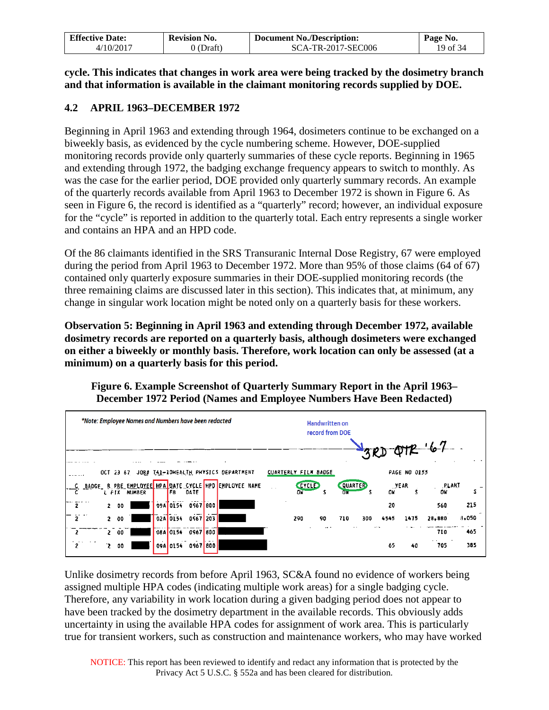| <b>Effective Date:</b> | Revision No. | <b>Document No./Description:</b> | Page No. |
|------------------------|--------------|----------------------------------|----------|
| 4/10/2017              | 0 (Draft)    | SCA-TR-2017-SEC006               | 19 of 34 |

**cycle. This indicates that changes in work area were being tracked by the dosimetry branch and that information is available in the claimant monitoring records supplied by DOE.**

## <span id="page-18-0"></span>**4.2 APRIL 1963–DECEMBER 1972**

Beginning in April 1963 and extending through 1964, dosimeters continue to be exchanged on a biweekly basis, as evidenced by the cycle numbering scheme. However, DOE-supplied monitoring records provide only quarterly summaries of these cycle reports. Beginning in 1965 and extending through 1972, the badging exchange frequency appears to switch to monthly. As was the case for the earlier period, DOE provided only quarterly summary records. An example of the quarterly records available from April 1963 to December 1972 is shown in Figure 6. As seen in Figure 6, the record is identified as a "quarterly" record; however, an individual exposure for the "cycle" is reported in addition to the quarterly total. Each entry represents a single worker and contains an HPA and an HPD code.

Of the 86 claimants identified in the SRS Transuranic Internal Dose Registry, 67 were employed during the period from April 1963 to December 1972. More than 95% of those claims (64 of 67) contained only quarterly exposure summaries in their DOE-supplied monitoring records (the three remaining claims are discussed later in this section). This indicates that, at minimum, any change in singular work location might be noted only on a quarterly basis for these workers.

**Observation 5: Beginning in April 1963 and extending through December 1972, available dosimetry records are reported on a quarterly basis, although dosimeters were exchanged on either a biweekly or monthly basis. Therefore, work location can only be assessed (at a minimum) on a quarterly basis for this period.**

**Figure 6. Example Screenshot of Quarterly Summary Report in the April 1963– December 1972 Period (Names and Employee Numbers Have Been Redacted)**



Unlike dosimetry records from before April 1963, SC&A found no evidence of workers being assigned multiple HPA codes (indicating multiple work areas) for a single badging cycle. Therefore, any variability in work location during a given badging period does not appear to have been tracked by the dosimetry department in the available records. This obviously adds uncertainty in using the available HPA codes for assignment of work area. This is particularly true for transient workers, such as construction and maintenance workers, who may have worked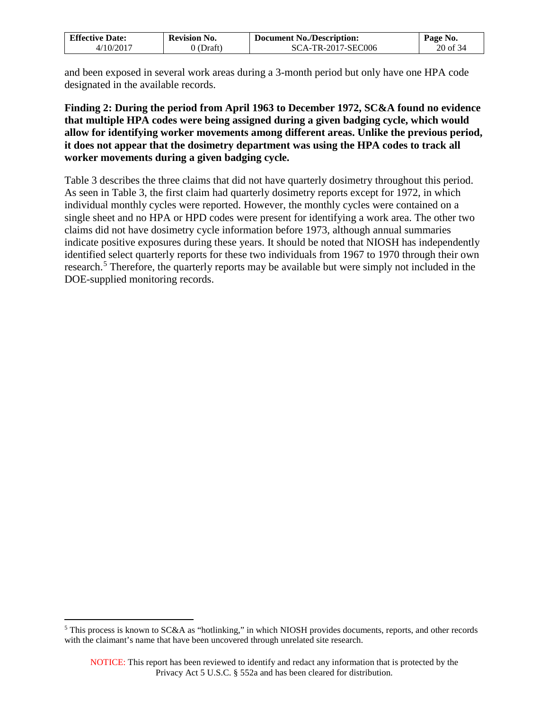| <b>Effective Date:</b>   | <b>Revision No.</b> | <b>Document No./Description:</b> | Page No.   |
|--------------------------|---------------------|----------------------------------|------------|
| $4/10/201$ <sup>-7</sup> | 0 (Draft)           | SCA-TR-2017-SEC006               | $20$ of 34 |

and been exposed in several work areas during a 3-month period but only have one HPA code designated in the available records.

### **Finding 2: During the period from April 1963 to December 1972, SC&A found no evidence that multiple HPA codes were being assigned during a given badging cycle, which would allow for identifying worker movements among different areas. Unlike the previous period, it does not appear that the dosimetry department was using the HPA codes to track all worker movements during a given badging cycle.**

Table 3 describes the three claims that did not have quarterly dosimetry throughout this period. As seen in Table 3, the first claim had quarterly dosimetry reports except for 1972, in which individual monthly cycles were reported. However, the monthly cycles were contained on a single sheet and no HPA or HPD codes were present for identifying a work area. The other two claims did not have dosimetry cycle information before 1973, although annual summaries indicate positive exposures during these years. It should be noted that NIOSH has independently identified select quarterly reports for these two individuals from 1967 to 1970 through their own research.<sup>[5](#page-19-0)</sup> Therefore, the quarterly reports may be available but were simply not included in the DOE-supplied monitoring records.

 $\overline{a}$ 

<span id="page-19-0"></span><sup>&</sup>lt;sup>5</sup> This process is known to SC&A as "hotlinking," in which NIOSH provides documents, reports, and other records with the claimant's name that have been uncovered through unrelated site research.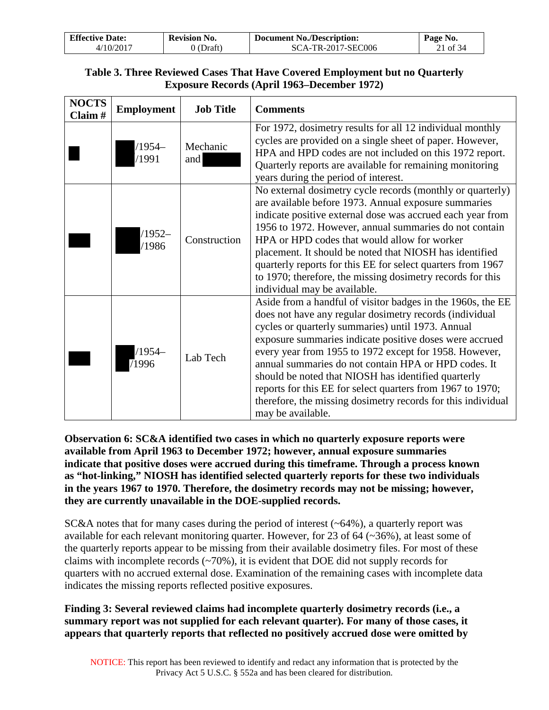| <b>Effective Date:</b> | <b>Revision No.</b> | <b>Document No./Description:</b> | Page No. |
|------------------------|---------------------|----------------------------------|----------|
| /10/2011               | Draft)              | SCA-TR-2017-SEC006               | 21 of 34 |

## **Table 3. Three Reviewed Cases That Have Covered Employment but no Quarterly Exposure Records (April 1963–December 1972)**

| <b>NOCTS</b><br>Claim# | <b>Employment</b> | <b>Job Title</b> | <b>Comments</b>                                                                                                                                                                                                                                                                                                                                                                                                                                                                                                                                                    |
|------------------------|-------------------|------------------|--------------------------------------------------------------------------------------------------------------------------------------------------------------------------------------------------------------------------------------------------------------------------------------------------------------------------------------------------------------------------------------------------------------------------------------------------------------------------------------------------------------------------------------------------------------------|
|                        | $/1954-$<br>/1991 | Mechanic<br>and  | For 1972, dosimetry results for all 12 individual monthly<br>cycles are provided on a single sheet of paper. However,<br>HPA and HPD codes are not included on this 1972 report.<br>Quarterly reports are available for remaining monitoring<br>years during the period of interest.                                                                                                                                                                                                                                                                               |
|                        | $/1952-$<br>/1986 | Construction     | No external dosimetry cycle records (monthly or quarterly)<br>are available before 1973. Annual exposure summaries<br>indicate positive external dose was accrued each year from<br>1956 to 1972. However, annual summaries do not contain<br>HPA or HPD codes that would allow for worker<br>placement. It should be noted that NIOSH has identified<br>quarterly reports for this EE for select quarters from 1967<br>to 1970; therefore, the missing dosimetry records for this<br>individual may be available.                                                 |
|                        | /1954–<br>71996   | Lab Tech         | Aside from a handful of visitor badges in the 1960s, the EE<br>does not have any regular dosimetry records (individual<br>cycles or quarterly summaries) until 1973. Annual<br>exposure summaries indicate positive doses were accrued<br>every year from 1955 to 1972 except for 1958. However,<br>annual summaries do not contain HPA or HPD codes. It<br>should be noted that NIOSH has identified quarterly<br>reports for this EE for select quarters from 1967 to 1970;<br>therefore, the missing dosimetry records for this individual<br>may be available. |

**Observation 6: SC&A identified two cases in which no quarterly exposure reports were available from April 1963 to December 1972; however, annual exposure summaries indicate that positive doses were accrued during this timeframe. Through a process known as "hot-linking," NIOSH has identified selected quarterly reports for these two individuals in the years 1967 to 1970. Therefore, the dosimetry records may not be missing; however, they are currently unavailable in the DOE-supplied records.**

 $SC&A$  notes that for many cases during the period of interest ( $\sim 64\%$ ), a quarterly report was available for each relevant monitoring quarter. However, for 23 of 64 (~36%), at least some of the quarterly reports appear to be missing from their available dosimetry files. For most of these claims with incomplete records  $(\sim 70\%)$ , it is evident that DOE did not supply records for quarters with no accrued external dose. Examination of the remaining cases with incomplete data indicates the missing reports reflected positive exposures.

## **Finding 3: Several reviewed claims had incomplete quarterly dosimetry records (i.e., a summary report was not supplied for each relevant quarter). For many of those cases, it appears that quarterly reports that reflected no positively accrued dose were omitted by**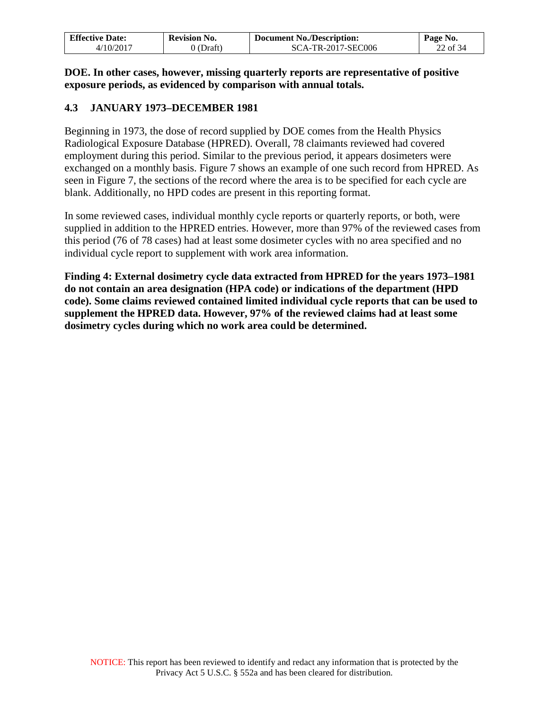| <b>Effective Date:</b>   | <b>Revision No.</b> | <b>Document No./Description:</b> | Page No. |
|--------------------------|---------------------|----------------------------------|----------|
| $4/10/201$ <sup>-7</sup> | (Draft)             | SCA-TR-2017-SEC006               | 22 of 34 |

**DOE. In other cases, however, missing quarterly reports are representative of positive exposure periods, as evidenced by comparison with annual totals.** 

## <span id="page-21-0"></span>**4.3 JANUARY 1973–DECEMBER 1981**

Beginning in 1973, the dose of record supplied by DOE comes from the Health Physics Radiological Exposure Database (HPRED). Overall, 78 claimants reviewed had covered employment during this period. Similar to the previous period, it appears dosimeters were exchanged on a monthly basis. Figure 7 shows an example of one such record from HPRED. As seen in Figure 7, the sections of the record where the area is to be specified for each cycle are blank. Additionally, no HPD codes are present in this reporting format.

In some reviewed cases, individual monthly cycle reports or quarterly reports, or both, were supplied in addition to the HPRED entries. However, more than 97% of the reviewed cases from this period (76 of 78 cases) had at least some dosimeter cycles with no area specified and no individual cycle report to supplement with work area information.

**Finding 4: External dosimetry cycle data extracted from HPRED for the years 1973–1981 do not contain an area designation (HPA code) or indications of the department (HPD code). Some claims reviewed contained limited individual cycle reports that can be used to supplement the HPRED data. However, 97% of the reviewed claims had at least some dosimetry cycles during which no work area could be determined.**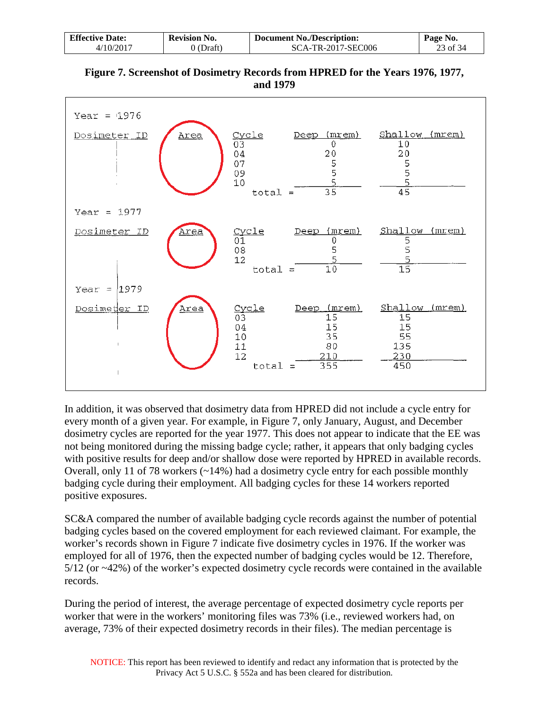| <b>Effective Date:</b>  | <b>Revision No.</b> | <b>Document No./Description:</b> | Page No. |
|-------------------------|---------------------|----------------------------------|----------|
| $4/10/201$ <sup>-</sup> | $0$ (Draft)         | SCA-TR-2017-SEC006               | 23 of 34 |

| Figure 7. Screenshot of Dosimetry Records from HPRED for the Years 1976, 1977, |
|--------------------------------------------------------------------------------|
| and 1979                                                                       |

| Year = $1976$<br>Dosimeter ID<br><u>Area</u> | (mrem)<br><u>Cycle</u><br>Deep<br>03<br>0<br>04<br>20<br>5<br>5<br>07<br>09<br>5<br>10<br>$\overline{35}$<br>$total =$             | Shallow (mrem)<br>10<br>20<br>5<br>5<br>5<br>$\overline{45}$ |
|----------------------------------------------|------------------------------------------------------------------------------------------------------------------------------------|--------------------------------------------------------------|
| Year = $1977$<br>Dosimeter ID<br><u>Area</u> | Deep (mrem)<br><u>Cycle</u><br>01<br>0<br>5<br>$0\,8$<br>5<br>12<br>$\overline{10}$<br>$total =$                                   | Shallow (mrem)<br>5<br>5<br>5<br>$\overline{15}$             |
| Year = $1979$<br>Dosimeter ID<br>Area        | (mrem)<br>Cycle<br>Deep<br>$\overline{03}$<br>$\overline{15}$<br>04<br>15<br>35<br>10<br>11<br>80<br>12<br>210<br>355<br>$total =$ | Shallow (mrem)<br>15<br>15<br>55<br>135<br>230<br>450        |

In addition, it was observed that dosimetry data from HPRED did not include a cycle entry for every month of a given year. For example, in Figure 7, only January, August, and December dosimetry cycles are reported for the year 1977. This does not appear to indicate that the EE was not being monitored during the missing badge cycle; rather, it appears that only badging cycles with positive results for deep and/or shallow dose were reported by HPRED in available records. Overall, only 11 of 78 workers (~14%) had a dosimetry cycle entry for each possible monthly badging cycle during their employment. All badging cycles for these 14 workers reported positive exposures.

SC&A compared the number of available badging cycle records against the number of potential badging cycles based on the covered employment for each reviewed claimant. For example, the worker's records shown in Figure 7 indicate five dosimetry cycles in 1976. If the worker was employed for all of 1976, then the expected number of badging cycles would be 12. Therefore, 5/12 (or ~42%) of the worker's expected dosimetry cycle records were contained in the available records.

During the period of interest, the average percentage of expected dosimetry cycle reports per worker that were in the workers' monitoring files was 73% (i.e., reviewed workers had, on average, 73% of their expected dosimetry records in their files). The median percentage is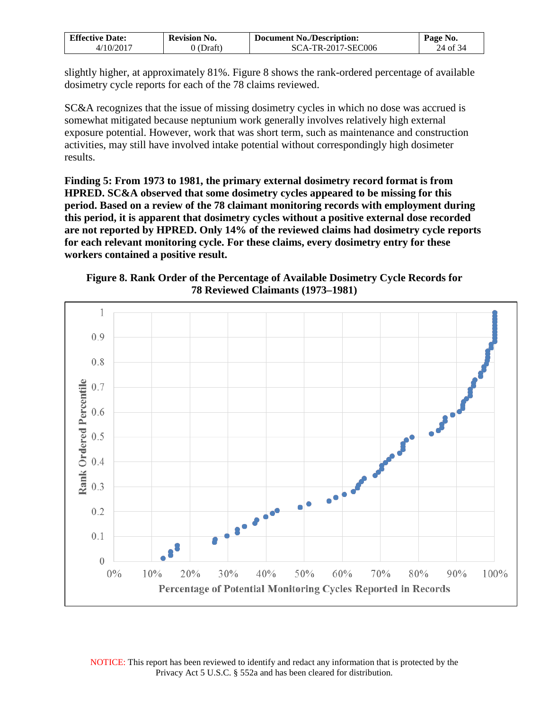| <b>Effective Date:</b> | <b>Revision No.</b> | <b>Document No./Description:</b> | Page No. |
|------------------------|---------------------|----------------------------------|----------|
| /10/201′               | Draft               | <b>SCA-TR-2017-SEC006</b>        | 24 of 34 |

slightly higher, at approximately 81%. Figure 8 shows the rank-ordered percentage of available dosimetry cycle reports for each of the 78 claims reviewed.

SC&A recognizes that the issue of missing dosimetry cycles in which no dose was accrued is somewhat mitigated because neptunium work generally involves relatively high external exposure potential. However, work that was short term, such as maintenance and construction activities, may still have involved intake potential without correspondingly high dosimeter results.

**Finding 5: From 1973 to 1981, the primary external dosimetry record format is from HPRED. SC&A observed that some dosimetry cycles appeared to be missing for this period. Based on a review of the 78 claimant monitoring records with employment during this period, it is apparent that dosimetry cycles without a positive external dose recorded are not reported by HPRED. Only 14% of the reviewed claims had dosimetry cycle reports for each relevant monitoring cycle. For these claims, every dosimetry entry for these workers contained a positive result.**

**Figure 8. Rank Order of the Percentage of Available Dosimetry Cycle Records for 78 Reviewed Claimants (1973–1981)** 

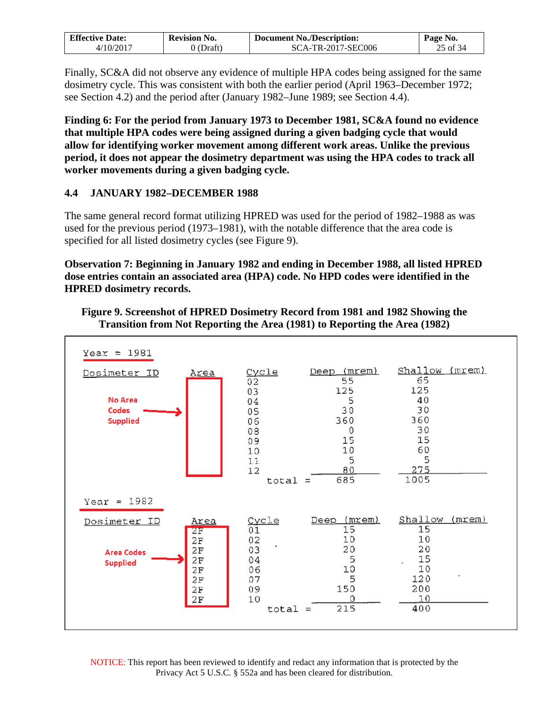| <b>Effective Date:</b>   | <b>Revision No.</b> | <b>Document No./Description:</b> | Page No. |
|--------------------------|---------------------|----------------------------------|----------|
| $4/10/201$ <sup>-1</sup> | Draft)              | SCA-TR-2017-SEC006               | 25 of 34 |

Finally, SC&A did not observe any evidence of multiple HPA codes being assigned for the same dosimetry cycle. This was consistent with both the earlier period (April 1963–December 1972; see Section 4.2) and the period after (January 1982–June 1989; see Section 4.4).

**Finding 6: For the period from January 1973 to December 1981, SC&A found no evidence that multiple HPA codes were being assigned during a given badging cycle that would allow for identifying worker movement among different work areas. Unlike the previous period, it does not appear the dosimetry department was using the HPA codes to track all worker movements during a given badging cycle.**

## <span id="page-24-0"></span>**4.4 JANUARY 1982–DECEMBER 1988**

The same general record format utilizing HPRED was used for the period of 1982–1988 as was used for the previous period (1973–1981), with the notable difference that the area code is specified for all listed dosimetry cycles (see Figure 9).

**Observation 7: Beginning in January 1982 and ending in December 1988, all listed HPRED dose entries contain an associated area (HPA) code. No HPD codes were identified in the HPRED dosimetry records.**

### **Figure 9. Screenshot of HPRED Dosimetry Record from 1981 and 1982 Showing the Transition from Not Reporting the Area (1981) to Reporting the Area (1982)**



NOTICE: This report has been reviewed to identify and redact any information that is protected by the Privacy Act 5 U.S.C. § 552a and has been cleared for distribution.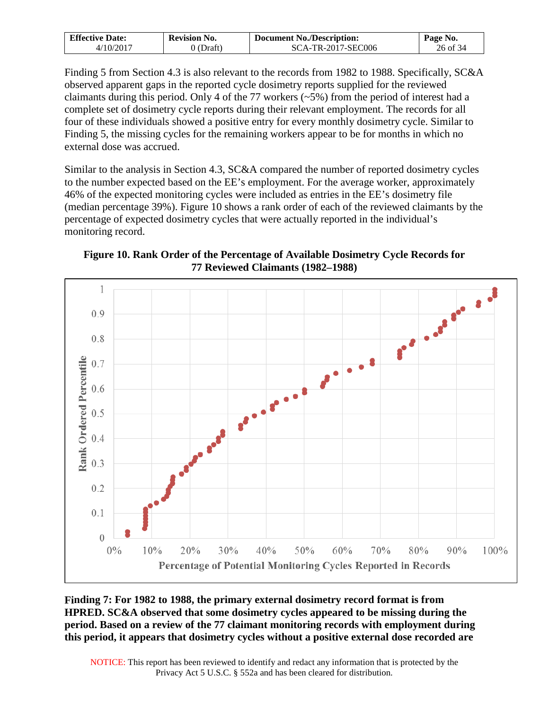| <b>Effective Date:</b>   | <b>Revision No.</b> | <b>Document No./Description:</b> | Page No. |
|--------------------------|---------------------|----------------------------------|----------|
| $4/10/201$ <sup>-7</sup> | Draft.              | SCA-TR-2017-SEC006               | 26 of 34 |

Finding 5 from Section 4.3 is also relevant to the records from 1982 to 1988. Specifically, SC&A observed apparent gaps in the reported cycle dosimetry reports supplied for the reviewed claimants during this period. Only 4 of the 77 workers (~5%) from the period of interest had a complete set of dosimetry cycle reports during their relevant employment. The records for all four of these individuals showed a positive entry for every monthly dosimetry cycle. Similar to Finding 5, the missing cycles for the remaining workers appear to be for months in which no external dose was accrued.

Similar to the analysis in Section 4.3, SC&A compared the number of reported dosimetry cycles to the number expected based on the EE's employment. For the average worker, approximately 46% of the expected monitoring cycles were included as entries in the EE's dosimetry file (median percentage 39%). Figure 10 shows a rank order of each of the reviewed claimants by the percentage of expected dosimetry cycles that were actually reported in the individual's monitoring record.

**Figure 10. Rank Order of the Percentage of Available Dosimetry Cycle Records for 77 Reviewed Claimants (1982–1988)** 



**Finding 7: For 1982 to 1988, the primary external dosimetry record format is from HPRED. SC&A observed that some dosimetry cycles appeared to be missing during the period. Based on a review of the 77 claimant monitoring records with employment during this period, it appears that dosimetry cycles without a positive external dose recorded are**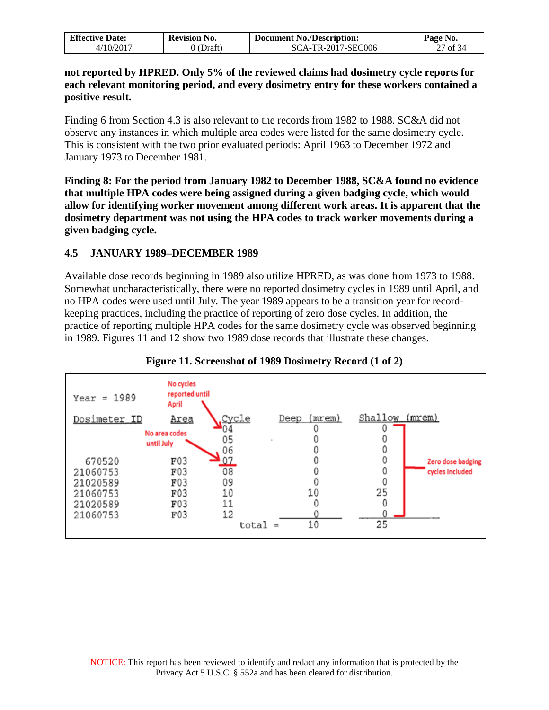| <b>Effective Date:</b> | <b>Revision No.</b> | <b>Document No./Description:</b> | Page No. |
|------------------------|---------------------|----------------------------------|----------|
| 4/10/2017              | 0 (Draft)           | SCA-TR-2017-SEC006               | 27 of 34 |

**not reported by HPRED. Only 5% of the reviewed claims had dosimetry cycle reports for each relevant monitoring period, and every dosimetry entry for these workers contained a positive result.**

Finding 6 from Section 4.3 is also relevant to the records from 1982 to 1988. SC&A did not observe any instances in which multiple area codes were listed for the same dosimetry cycle. This is consistent with the two prior evaluated periods: April 1963 to December 1972 and January 1973 to December 1981.

**Finding 8: For the period from January 1982 to December 1988, SC&A found no evidence that multiple HPA codes were being assigned during a given badging cycle, which would allow for identifying worker movement among different work areas. It is apparent that the dosimetry department was not using the HPA codes to track worker movements during a given badging cycle.** 

### <span id="page-26-0"></span>**4.5 JANUARY 1989–DECEMBER 1989**

Available dose records beginning in 1989 also utilize HPRED, as was done from 1973 to 1988. Somewhat uncharacteristically, there were no reported dosimetry cycles in 1989 until April, and no HPA codes were used until July. The year 1989 appears to be a transition year for recordkeeping practices, including the practice of reporting of zero dose cycles. In addition, the practice of reporting multiple HPA codes for the same dosimetry cycle was observed beginning in 1989. Figures 11 and 12 show two 1989 dose records that illustrate these changes.



## **Figure 11. Screenshot of 1989 Dosimetry Record (1 of 2)**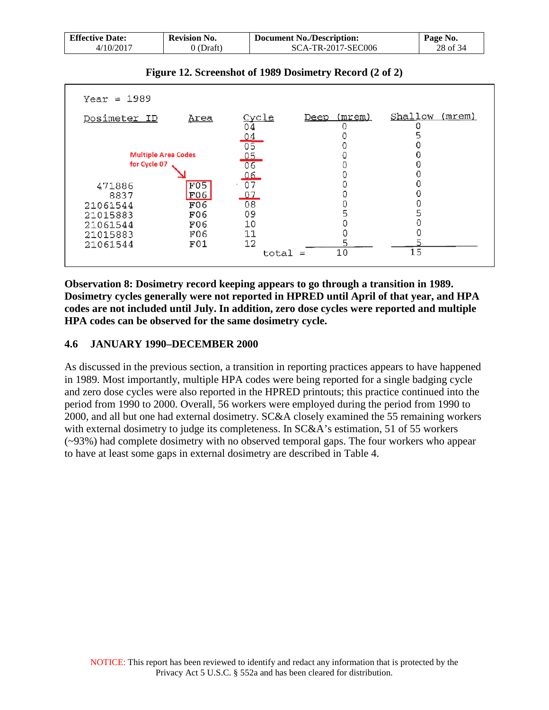| <b>Effective Date:</b>   | <b>Revision No.</b> | <b>Document No./Description:</b> | Page No. |
|--------------------------|---------------------|----------------------------------|----------|
| $4/10/201$ <sup>-7</sup> | $\Omega$ (Draft)    | SCA-TR-2017-SEC006               | 28 of 34 |

| $Year = 1989$              |             |                    |                       |                   |
|----------------------------|-------------|--------------------|-----------------------|-------------------|
| Dosimeter ID               | <u>Area</u> | <u>Cycle</u><br>04 | (mrem)<br><u>Deep</u> | Shallow<br>(mrem) |
|                            |             | <u>04</u>          |                       |                   |
|                            |             | 05                 |                       |                   |
| <b>Multiple Area Codes</b> |             | <u>05</u>          |                       |                   |
| for Cycle 07               |             | 06                 |                       |                   |
|                            |             | 06                 |                       |                   |
| 471886                     | F05         | 07                 |                       |                   |
| 8837                       | F06         | 07                 |                       |                   |
| 21061544                   | F06         | 08                 |                       |                   |
| 21015883                   | F06         | 09                 | 5                     |                   |
| 21061544                   | F06         | 10                 |                       |                   |
| 21015883                   | F06         | 11                 |                       |                   |
| 21061544                   | F01         | 12                 |                       |                   |
|                            |             | total              | 10<br>$\equiv$        | 15                |
|                            |             |                    |                       |                   |

### **Figure 12. Screenshot of 1989 Dosimetry Record (2 of 2)**

**Observation 8: Dosimetry record keeping appears to go through a transition in 1989. Dosimetry cycles generally were not reported in HPRED until April of that year, and HPA codes are not included until July. In addition, zero dose cycles were reported and multiple HPA codes can be observed for the same dosimetry cycle.**

### <span id="page-27-0"></span>**4.6 JANUARY 1990–DECEMBER 2000**

As discussed in the previous section, a transition in reporting practices appears to have happened in 1989. Most importantly, multiple HPA codes were being reported for a single badging cycle and zero dose cycles were also reported in the HPRED printouts; this practice continued into the period from 1990 to 2000. Overall, 56 workers were employed during the period from 1990 to 2000, and all but one had external dosimetry. SC&A closely examined the 55 remaining workers with external dosimetry to judge its completeness. In SC&A's estimation, 51 of 55 workers (~93%) had complete dosimetry with no observed temporal gaps. The four workers who appear to have at least some gaps in external dosimetry are described in Table 4.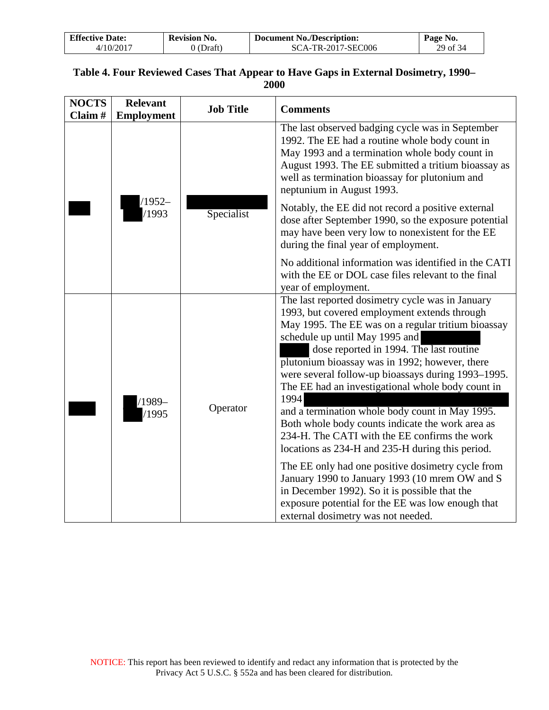| <b>Effective Date:</b> | <b>Revision No.</b> | <b>Document No./Description:</b> | Page No. |
|------------------------|---------------------|----------------------------------|----------|
| 4/10/2017              | 0 (Draft)           | <b>SCA-TR-2017-SEC006</b>        | 29 of 34 |

## **Table 4. Four Reviewed Cases That Appear to Have Gaps in External Dosimetry, 1990– 2000**

| <b>NOCTS</b><br>Claim# | <b>Relevant</b><br><b>Employment</b> | <b>Job Title</b> | <b>Comments</b>                                                                                                                                                                                                                                                                                                                                                                                                                                                                                                                                                                                                                                                                                                                                                                                                                                                         |
|------------------------|--------------------------------------|------------------|-------------------------------------------------------------------------------------------------------------------------------------------------------------------------------------------------------------------------------------------------------------------------------------------------------------------------------------------------------------------------------------------------------------------------------------------------------------------------------------------------------------------------------------------------------------------------------------------------------------------------------------------------------------------------------------------------------------------------------------------------------------------------------------------------------------------------------------------------------------------------|
|                        |                                      |                  | The last observed badging cycle was in September<br>1992. The EE had a routine whole body count in<br>May 1993 and a termination whole body count in<br>August 1993. The EE submitted a tritium bioassay as<br>well as termination bioassay for plutonium and<br>neptunium in August 1993.                                                                                                                                                                                                                                                                                                                                                                                                                                                                                                                                                                              |
|                        | $/1952-$<br>/1993<br>Specialist      |                  | Notably, the EE did not record a positive external<br>dose after September 1990, so the exposure potential<br>may have been very low to nonexistent for the EE<br>during the final year of employment.                                                                                                                                                                                                                                                                                                                                                                                                                                                                                                                                                                                                                                                                  |
|                        |                                      |                  | No additional information was identified in the CATI<br>with the EE or DOL case files relevant to the final<br>year of employment.                                                                                                                                                                                                                                                                                                                                                                                                                                                                                                                                                                                                                                                                                                                                      |
|                        | $1989-$<br>/1995                     | Operator         | The last reported dosimetry cycle was in January<br>1993, but covered employment extends through<br>May 1995. The EE was on a regular tritium bioassay<br>schedule up until May 1995 and<br>dose reported in 1994. The last routine<br>plutonium bioassay was in 1992; however, there<br>were several follow-up bioassays during 1993–1995.<br>The EE had an investigational whole body count in<br>1994<br>and a termination whole body count in May 1995.<br>Both whole body counts indicate the work area as<br>234-H. The CATI with the EE confirms the work<br>locations as 234-H and 235-H during this period.<br>The EE only had one positive dosimetry cycle from<br>January 1990 to January 1993 (10 mrem OW and S<br>in December 1992). So it is possible that the<br>exposure potential for the EE was low enough that<br>external dosimetry was not needed. |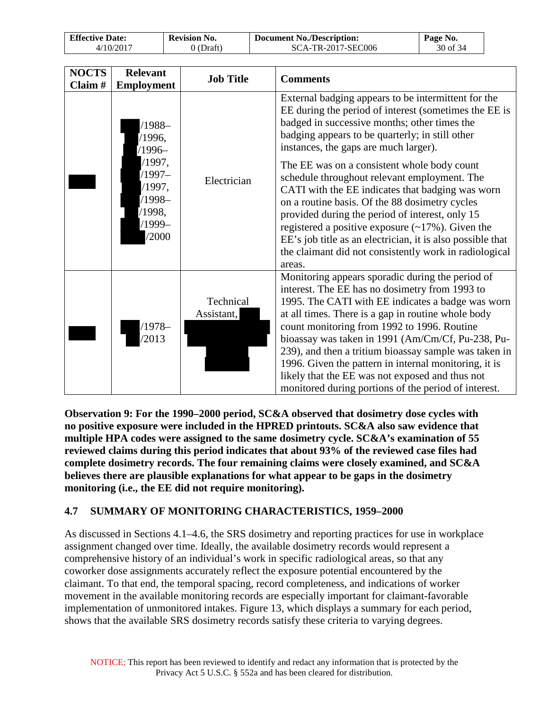| <b>Effective Date:</b> | <b>Revision No.</b> | <b>Document No./Description:</b> | Page No. |
|------------------------|---------------------|----------------------------------|----------|
| /10/2017               | 'Draft              | SCA-TR-2017-SEC006               | 30 of 34 |

| <b>NOCTS</b><br>Claim# | <b>Relevant</b><br><b>Employment</b>                                                                      | <b>Job Title</b>        | <b>Comments</b>                                                                                                                                                                                                                                                                                                                                                                                                                                                                                                                                                                                                                                                                                                |
|------------------------|-----------------------------------------------------------------------------------------------------------|-------------------------|----------------------------------------------------------------------------------------------------------------------------------------------------------------------------------------------------------------------------------------------------------------------------------------------------------------------------------------------------------------------------------------------------------------------------------------------------------------------------------------------------------------------------------------------------------------------------------------------------------------------------------------------------------------------------------------------------------------|
|                        | $/1988-$<br>/1996,<br>$/1996-$<br>/1997,<br>$/1997-$<br>/1997,<br>$/1998-$<br>/1998,<br>$/1999-$<br>/2000 | Electrician             | External badging appears to be intermittent for the<br>EE during the period of interest (sometimes the EE is<br>badged in successive months; other times the<br>badging appears to be quarterly; in still other<br>instances, the gaps are much larger).<br>The EE was on a consistent whole body count<br>schedule throughout relevant employment. The<br>CATI with the EE indicates that badging was worn<br>on a routine basis. Of the 88 dosimetry cycles<br>provided during the period of interest, only 15<br>registered a positive exposure $(\sim 17\%)$ . Given the<br>EE's job title as an electrician, it is also possible that<br>the claimant did not consistently work in radiological<br>areas. |
|                        | /1978–<br>/2013                                                                                           | Technical<br>Assistant, | Monitoring appears sporadic during the period of<br>interest. The EE has no dosimetry from 1993 to<br>1995. The CATI with EE indicates a badge was worn<br>at all times. There is a gap in routine whole body<br>count monitoring from 1992 to 1996. Routine<br>bioassay was taken in 1991 (Am/Cm/Cf, Pu-238, Pu-<br>239), and then a tritium bioassay sample was taken in<br>1996. Given the pattern in internal monitoring, it is<br>likely that the EE was not exposed and thus not<br>monitored during portions of the period of interest.                                                                                                                                                                 |

**Observation 9: For the 1990–2000 period, SC&A observed that dosimetry dose cycles with no positive exposure were included in the HPRED printouts. SC&A also saw evidence that multiple HPA codes were assigned to the same dosimetry cycle. SC&A's examination of 55 reviewed claims during this period indicates that about 93% of the reviewed case files had complete dosimetry records. The four remaining claims were closely examined, and SC&A believes there are plausible explanations for what appear to be gaps in the dosimetry monitoring (i.e., the EE did not require monitoring).**

## <span id="page-29-0"></span>**4.7 SUMMARY OF MONITORING CHARACTERISTICS, 1959–2000**

As discussed in Sections 4.1–4.6, the SRS dosimetry and reporting practices for use in workplace assignment changed over time. Ideally, the available dosimetry records would represent a comprehensive history of an individual's work in specific radiological areas, so that any coworker dose assignments accurately reflect the exposure potential encountered by the claimant. To that end, the temporal spacing, record completeness, and indications of worker movement in the available monitoring records are especially important for claimant-favorable implementation of unmonitored intakes. Figure 13, which displays a summary for each period, shows that the available SRS dosimetry records satisfy these criteria to varying degrees.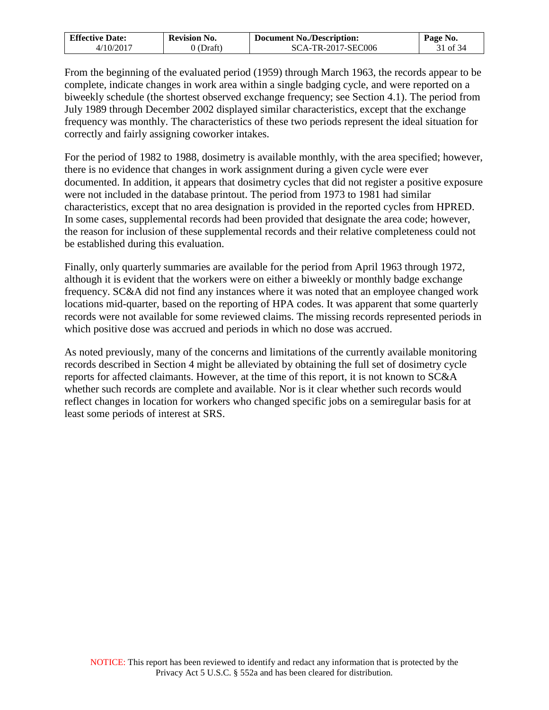| <b>Effective Date:</b> | <b>Revision No.</b> | <b>Document No./Description:</b> | Page No. |
|------------------------|---------------------|----------------------------------|----------|
| 4/10/2017              | 0 (Draft)           | SCA-TR-2017-SEC006               | 31 of 34 |

From the beginning of the evaluated period (1959) through March 1963, the records appear to be complete, indicate changes in work area within a single badging cycle, and were reported on a biweekly schedule (the shortest observed exchange frequency; see Section 4.1). The period from July 1989 through December 2002 displayed similar characteristics, except that the exchange frequency was monthly. The characteristics of these two periods represent the ideal situation for correctly and fairly assigning coworker intakes.

For the period of 1982 to 1988, dosimetry is available monthly, with the area specified; however, there is no evidence that changes in work assignment during a given cycle were ever documented. In addition, it appears that dosimetry cycles that did not register a positive exposure were not included in the database printout. The period from 1973 to 1981 had similar characteristics, except that no area designation is provided in the reported cycles from HPRED. In some cases, supplemental records had been provided that designate the area code; however, the reason for inclusion of these supplemental records and their relative completeness could not be established during this evaluation.

Finally, only quarterly summaries are available for the period from April 1963 through 1972, although it is evident that the workers were on either a biweekly or monthly badge exchange frequency. SC&A did not find any instances where it was noted that an employee changed work locations mid-quarter, based on the reporting of HPA codes. It was apparent that some quarterly records were not available for some reviewed claims. The missing records represented periods in which positive dose was accrued and periods in which no dose was accrued.

As noted previously, many of the concerns and limitations of the currently available monitoring records described in Section 4 might be alleviated by obtaining the full set of dosimetry cycle reports for affected claimants. However, at the time of this report, it is not known to SC&A whether such records are complete and available. Nor is it clear whether such records would reflect changes in location for workers who changed specific jobs on a semiregular basis for at least some periods of interest at SRS.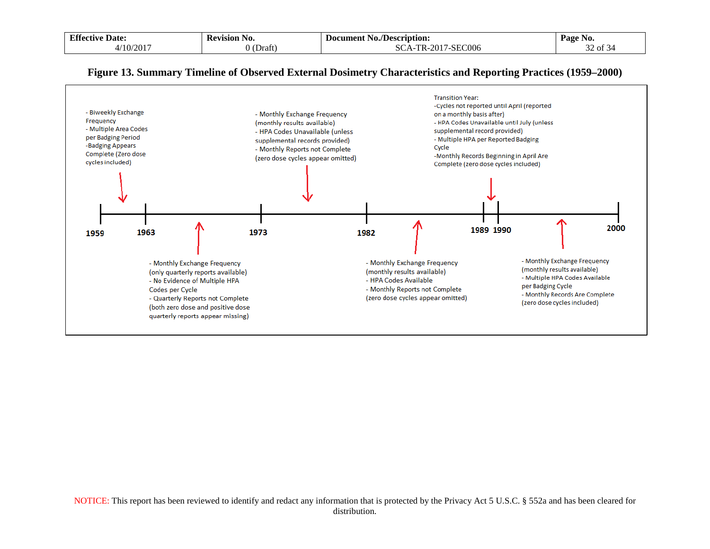| <b>Effective</b> | <b>Kevision</b> | /Description:                                       | Page No.                                |
|------------------|-----------------|-----------------------------------------------------|-----------------------------------------|
| Date:            | NO.             | -Document                                           |                                         |
|                  |                 | - No.,                                              |                                         |
| /10/2017         | Uraft           | /-SEC006<br><b>TPD</b><br>0.015<br>$A -$<br>$R = 1$ | $\sim$<br>$\sim$ $\sim$<br>of $34$<br>- |

### **Figure 13. Summary Timeline of Observed External Dosimetry Characteristics and Reporting Practices (1959–2000)**

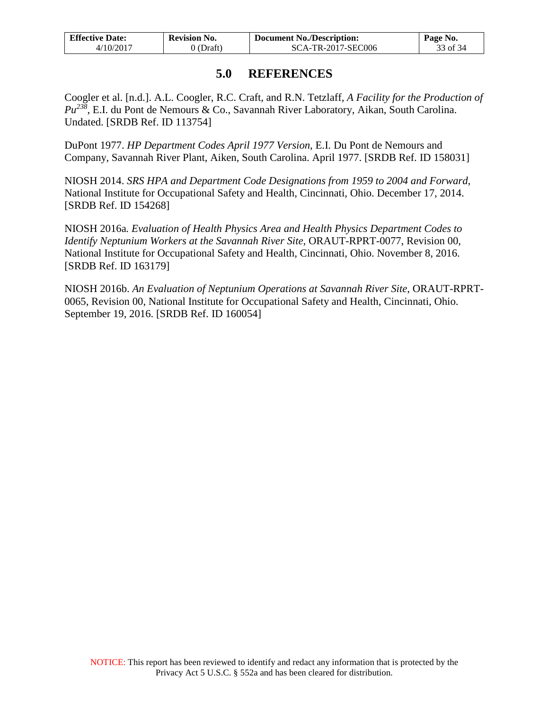| <b>Effective Date:</b> | <b>Revision No.</b> | <b>Document No./Description:</b> | Page No. |
|------------------------|---------------------|----------------------------------|----------|
| 4/10/2017              | 0 (Draft)           | SCA-TR-2017-SEC006               | 33 of 34 |

## **5.0 REFERENCES**

<span id="page-32-0"></span>Coogler et al. [n.d.]. A.L. Coogler, R.C. Craft, and R.N. Tetzlaff, *A Facility for the Production of Pu238*, E.I. du Pont de Nemours & Co., Savannah River Laboratory, Aikan, South Carolina. Undated. [SRDB Ref. ID 113754]

DuPont 1977. *HP Department Codes April 1977 Version*, E.I. Du Pont de Nemours and Company, Savannah River Plant, Aiken, South Carolina. April 1977. [SRDB Ref. ID 158031]

NIOSH 2014. *SRS HPA and Department Code Designations from 1959 to 2004 and Forward*, National Institute for Occupational Safety and Health, Cincinnati, Ohio. December 17, 2014. [SRDB Ref. ID 154268]

NIOSH 2016a*. Evaluation of Health Physics Area and Health Physics Department Codes to Identify Neptunium Workers at the Savannah River Site*, ORAUT-RPRT-0077, Revision 00, National Institute for Occupational Safety and Health, Cincinnati, Ohio. November 8, 2016. [SRDB Ref. ID 163179]

NIOSH 2016b. *An Evaluation of Neptunium Operations at Savannah River Site*, ORAUT-RPRT-0065, Revision 00, National Institute for Occupational Safety and Health, Cincinnati, Ohio. September 19, 2016. [SRDB Ref. ID 160054]